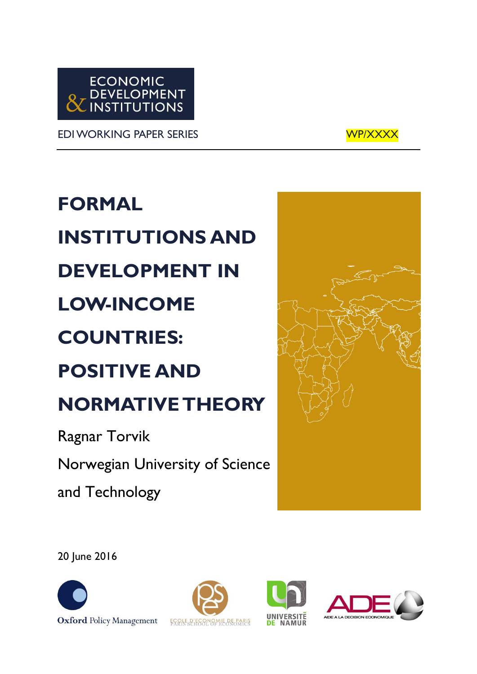

EDI WORKING PAPER SERIES WELL WORKING WORKER SERIES



**FORMAL INSTITUTIONS AND DEVELOPMENT IN LOW-INCOME COUNTRIES: POSITIVE AND NORMATIVE THEORY**

Ragnar Torvik Norwegian University of Science and Technology



20 June 2016







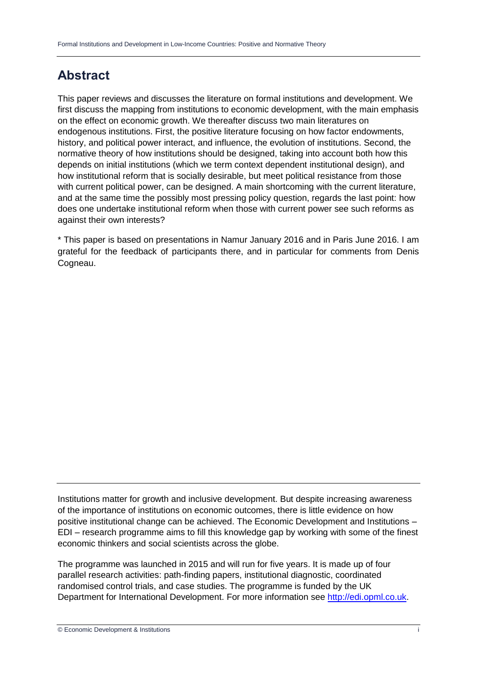# **Abstract**

This paper reviews and discusses the literature on formal institutions and development. We first discuss the mapping from institutions to economic development, with the main emphasis on the effect on economic growth. We thereafter discuss two main literatures on endogenous institutions. First, the positive literature focusing on how factor endowments, history, and political power interact, and influence, the evolution of institutions. Second, the normative theory of how institutions should be designed, taking into account both how this depends on initial institutions (which we term context dependent institutional design), and how institutional reform that is socially desirable, but meet political resistance from those with current political power, can be designed. A main shortcoming with the current literature, and at the same time the possibly most pressing policy question, regards the last point: how does one undertake institutional reform when those with current power see such reforms as against their own interests?

\* This paper is based on presentations in Namur January 2016 and in Paris June 2016. I am grateful for the feedback of participants there, and in particular for comments from Denis Cogneau.

Institutions matter for growth and inclusive development. But despite increasing awareness of the importance of institutions on economic outcomes, there is little evidence on how positive institutional change can be achieved. The Economic Development and Institutions – EDI – research programme aims to fill this knowledge gap by working with some of the finest economic thinkers and social scientists across the globe.

The programme was launched in 2015 and will run for five years. It is made up of four parallel research activities: path-finding papers, institutional diagnostic, coordinated randomised control trials, and case studies. The programme is funded by the UK Department for International Development. For more information see [http://edi.opml.co.uk.](http://edi.opml.co.uk/)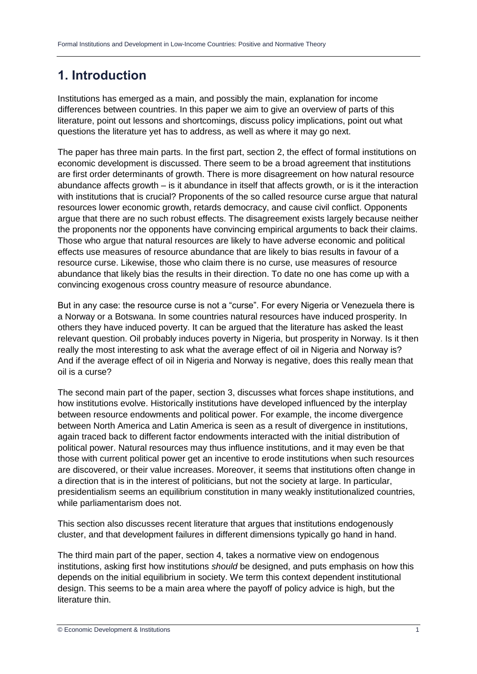# **1. Introduction**

Institutions has emerged as a main, and possibly the main, explanation for income differences between countries. In this paper we aim to give an overview of parts of this literature, point out lessons and shortcomings, discuss policy implications, point out what questions the literature yet has to address, as well as where it may go next.

The paper has three main parts. In the first part, section 2, the effect of formal institutions on economic development is discussed. There seem to be a broad agreement that institutions are first order determinants of growth. There is more disagreement on how natural resource abundance affects growth – is it abundance in itself that affects growth, or is it the interaction with institutions that is crucial? Proponents of the so called resource curse argue that natural resources lower economic growth, retards democracy, and cause civil conflict. Opponents argue that there are no such robust effects. The disagreement exists largely because neither the proponents nor the opponents have convincing empirical arguments to back their claims. Those who argue that natural resources are likely to have adverse economic and political effects use measures of resource abundance that are likely to bias results in favour of a resource curse. Likewise, those who claim there is no curse, use measures of resource abundance that likely bias the results in their direction. To date no one has come up with a convincing exogenous cross country measure of resource abundance.

But in any case: the resource curse is not a "curse". For every Nigeria or Venezuela there is a Norway or a Botswana. In some countries natural resources have induced prosperity. In others they have induced poverty. It can be argued that the literature has asked the least relevant question. Oil probably induces poverty in Nigeria, but prosperity in Norway. Is it then really the most interesting to ask what the average effect of oil in Nigeria and Norway is? And if the average effect of oil in Nigeria and Norway is negative, does this really mean that oil is a curse?

The second main part of the paper, section 3, discusses what forces shape institutions, and how institutions evolve. Historically institutions have developed influenced by the interplay between resource endowments and political power. For example, the income divergence between North America and Latin America is seen as a result of divergence in institutions, again traced back to different factor endowments interacted with the initial distribution of political power. Natural resources may thus influence institutions, and it may even be that those with current political power get an incentive to erode institutions when such resources are discovered, or their value increases. Moreover, it seems that institutions often change in a direction that is in the interest of politicians, but not the society at large. In particular, presidentialism seems an equilibrium constitution in many weakly institutionalized countries, while parliamentarism does not.

This section also discusses recent literature that argues that institutions endogenously cluster, and that development failures in different dimensions typically go hand in hand.

The third main part of the paper, section 4, takes a normative view on endogenous institutions, asking first how institutions *should* be designed, and puts emphasis on how this depends on the initial equilibrium in society. We term this context dependent institutional design. This seems to be a main area where the payoff of policy advice is high, but the literature thin.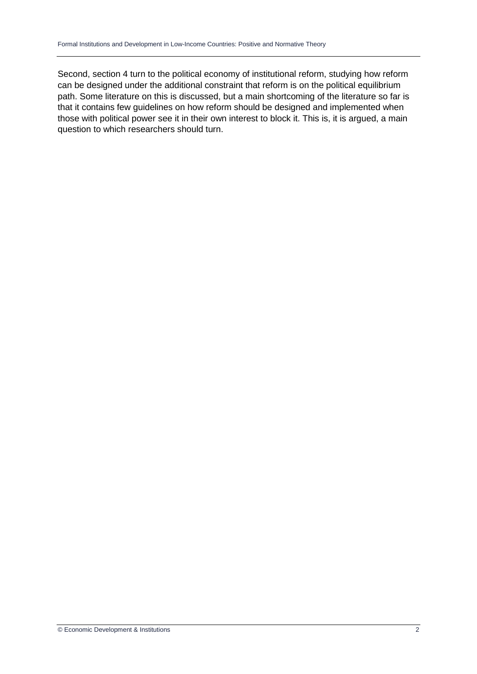Second, section 4 turn to the political economy of institutional reform, studying how reform can be designed under the additional constraint that reform is on the political equilibrium path. Some literature on this is discussed, but a main shortcoming of the literature so far is that it contains few guidelines on how reform should be designed and implemented when those with political power see it in their own interest to block it. This is, it is argued, a main question to which researchers should turn.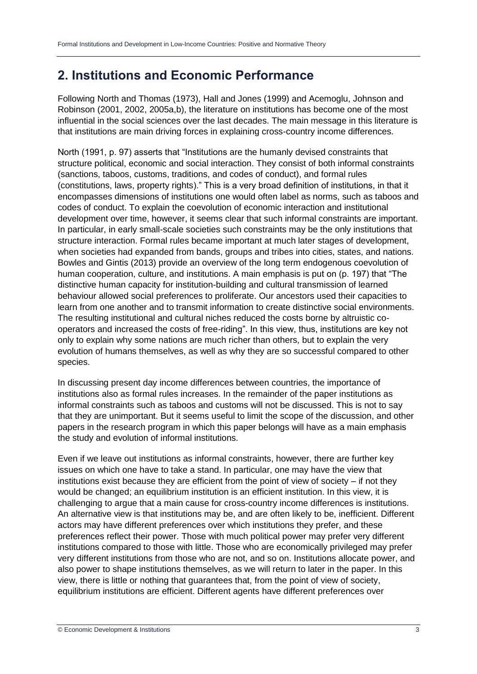# **2. Institutions and Economic Performance**

Following North and Thomas (1973), Hall and Jones (1999) and Acemoglu, Johnson and Robinson (2001, 2002, 2005a,b), the literature on institutions has become one of the most influential in the social sciences over the last decades. The main message in this literature is that institutions are main driving forces in explaining cross-country income differences.

North (1991, p. 97) asserts that "Institutions are the humanly devised constraints that structure political, economic and social interaction. They consist of both informal constraints (sanctions, taboos, customs, traditions, and codes of conduct), and formal rules (constitutions, laws, property rights)." This is a very broad definition of institutions, in that it encompasses dimensions of institutions one would often label as norms, such as taboos and codes of conduct. To explain the coevolution of economic interaction and institutional development over time, however, it seems clear that such informal constraints are important. In particular, in early small-scale societies such constraints may be the only institutions that structure interaction. Formal rules became important at much later stages of development, when societies had expanded from bands, groups and tribes into cities, states, and nations. Bowles and Gintis (2013) provide an overview of the long term endogenous coevolution of human cooperation, culture, and institutions. A main emphasis is put on (p. 197) that "The distinctive human capacity for institution-building and cultural transmission of learned behaviour allowed social preferences to proliferate. Our ancestors used their capacities to learn from one another and to transmit information to create distinctive social environments. The resulting institutional and cultural niches reduced the costs borne by altruistic cooperators and increased the costs of free-riding". In this view, thus, institutions are key not only to explain why some nations are much richer than others, but to explain the very evolution of humans themselves, as well as why they are so successful compared to other species.

In discussing present day income differences between countries, the importance of institutions also as formal rules increases. In the remainder of the paper institutions as informal constraints such as taboos and customs will not be discussed. This is not to say that they are unimportant. But it seems useful to limit the scope of the discussion, and other papers in the research program in which this paper belongs will have as a main emphasis the study and evolution of informal institutions.

Even if we leave out institutions as informal constraints, however, there are further key issues on which one have to take a stand. In particular, one may have the view that institutions exist because they are efficient from the point of view of society – if not they would be changed; an equilibrium institution is an efficient institution. In this view, it is challenging to argue that a main cause for cross-country income differences is institutions. An alternative view is that institutions may be, and are often likely to be, inefficient. Different actors may have different preferences over which institutions they prefer, and these preferences reflect their power. Those with much political power may prefer very different institutions compared to those with little. Those who are economically privileged may prefer very different institutions from those who are not, and so on. Institutions allocate power, and also power to shape institutions themselves, as we will return to later in the paper. In this view, there is little or nothing that guarantees that, from the point of view of society, equilibrium institutions are efficient. Different agents have different preferences over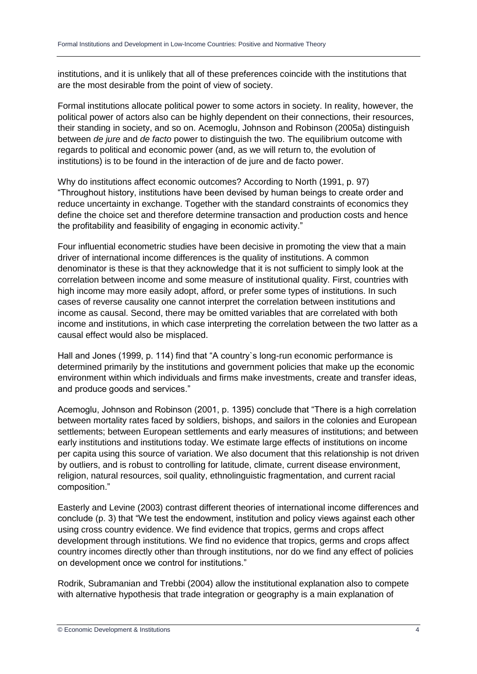institutions, and it is unlikely that all of these preferences coincide with the institutions that are the most desirable from the point of view of society.

Formal institutions allocate political power to some actors in society. In reality, however, the political power of actors also can be highly dependent on their connections, their resources, their standing in society, and so on. Acemoglu, Johnson and Robinson (2005a) distinguish between *de jure* and *de facto* power to distinguish the two. The equilibrium outcome with regards to political and economic power (and, as we will return to, the evolution of institutions) is to be found in the interaction of de jure and de facto power.

Why do institutions affect economic outcomes? According to North (1991, p. 97) "Throughout history, institutions have been devised by human beings to create order and reduce uncertainty in exchange. Together with the standard constraints of economics they define the choice set and therefore determine transaction and production costs and hence the profitability and feasibility of engaging in economic activity."

Four influential econometric studies have been decisive in promoting the view that a main driver of international income differences is the quality of institutions. A common denominator is these is that they acknowledge that it is not sufficient to simply look at the correlation between income and some measure of institutional quality. First, countries with high income may more easily adopt, afford, or prefer some types of institutions. In such cases of reverse causality one cannot interpret the correlation between institutions and income as causal. Second, there may be omitted variables that are correlated with both income and institutions, in which case interpreting the correlation between the two latter as a causal effect would also be misplaced.

Hall and Jones (1999, p. 114) find that "A country`s long-run economic performance is determined primarily by the institutions and government policies that make up the economic environment within which individuals and firms make investments, create and transfer ideas, and produce goods and services."

Acemoglu, Johnson and Robinson (2001, p. 1395) conclude that "There is a high correlation between mortality rates faced by soldiers, bishops, and sailors in the colonies and European settlements; between European settlements and early measures of institutions; and between early institutions and institutions today. We estimate large effects of institutions on income per capita using this source of variation. We also document that this relationship is not driven by outliers, and is robust to controlling for latitude, climate, current disease environment, religion, natural resources, soil quality, ethnolinguistic fragmentation, and current racial composition."

Easterly and Levine (2003) contrast different theories of international income differences and conclude (p. 3) that "We test the endowment, institution and policy views against each other using cross country evidence. We find evidence that tropics, germs and crops affect development through institutions. We find no evidence that tropics, germs and crops affect country incomes directly other than through institutions, nor do we find any effect of policies on development once we control for institutions."

Rodrik, Subramanian and Trebbi (2004) allow the institutional explanation also to compete with alternative hypothesis that trade integration or geography is a main explanation of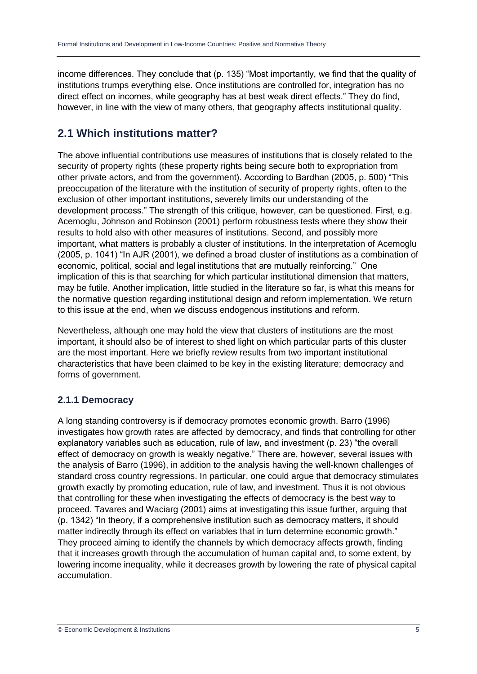income differences. They conclude that (p. 135) "Most importantly, we find that the quality of institutions trumps everything else. Once institutions are controlled for, integration has no direct effect on incomes, while geography has at best weak direct effects." They do find, however, in line with the view of many others, that geography affects institutional quality.

## **2.1 Which institutions matter?**

The above influential contributions use measures of institutions that is closely related to the security of property rights (these property rights being secure both to expropriation from other private actors, and from the government). According to Bardhan (2005, p. 500) "This preoccupation of the literature with the institution of security of property rights, often to the exclusion of other important institutions, severely limits our understanding of the development process." The strength of this critique, however, can be questioned. First, e.g. Acemoglu, Johnson and Robinson (2001) perform robustness tests where they show their results to hold also with other measures of institutions. Second, and possibly more important, what matters is probably a cluster of institutions. In the interpretation of Acemoglu (2005, p. 1041) "In AJR (2001), we defined a broad cluster of institutions as a combination of economic, political, social and legal institutions that are mutually reinforcing." One implication of this is that searching for which particular institutional dimension that matters, may be futile. Another implication, little studied in the literature so far, is what this means for the normative question regarding institutional design and reform implementation. We return to this issue at the end, when we discuss endogenous institutions and reform.

Nevertheless, although one may hold the view that clusters of institutions are the most important, it should also be of interest to shed light on which particular parts of this cluster are the most important. Here we briefly review results from two important institutional characteristics that have been claimed to be key in the existing literature; democracy and forms of government.

### **2.1.1 Democracy**

A long standing controversy is if democracy promotes economic growth. Barro (1996) investigates how growth rates are affected by democracy, and finds that controlling for other explanatory variables such as education, rule of law, and investment (p. 23) "the overall effect of democracy on growth is weakly negative." There are, however, several issues with the analysis of Barro (1996), in addition to the analysis having the well-known challenges of standard cross country regressions. In particular, one could argue that democracy stimulates growth exactly by promoting education, rule of law, and investment. Thus it is not obvious that controlling for these when investigating the effects of democracy is the best way to proceed. Tavares and Waciarg (2001) aims at investigating this issue further, arguing that (p. 1342) "In theory, if a comprehensive institution such as democracy matters, it should matter indirectly through its effect on variables that in turn determine economic growth." They proceed aiming to identify the channels by which democracy affects growth, finding that it increases growth through the accumulation of human capital and, to some extent, by lowering income inequality, while it decreases growth by lowering the rate of physical capital accumulation.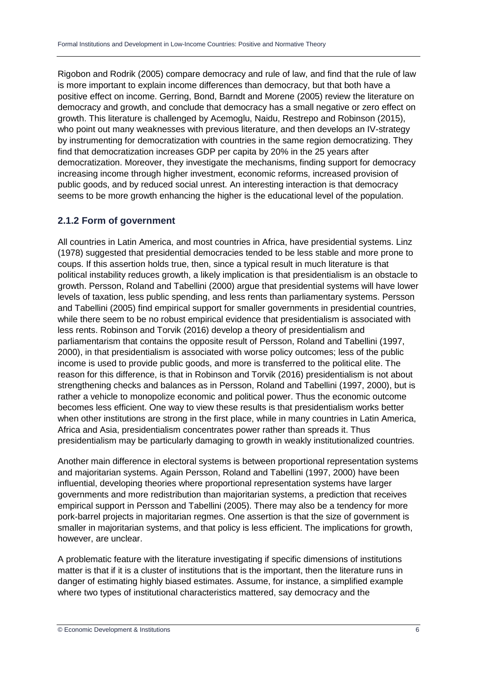Rigobon and Rodrik (2005) compare democracy and rule of law, and find that the rule of law is more important to explain income differences than democracy, but that both have a positive effect on income. Gerring, Bond, Barndt and Morene (2005) review the literature on democracy and growth, and conclude that democracy has a small negative or zero effect on growth. This literature is challenged by Acemoglu, Naidu, Restrepo and Robinson (2015), who point out many weaknesses with previous literature, and then develops an IV-strategy by instrumenting for democratization with countries in the same region democratizing. They find that democratization increases GDP per capita by 20% in the 25 years after democratization. Moreover, they investigate the mechanisms, finding support for democracy increasing income through higher investment, economic reforms, increased provision of public goods, and by reduced social unrest. An interesting interaction is that democracy seems to be more growth enhancing the higher is the educational level of the population.

#### **2.1.2 Form of government**

All countries in Latin America, and most countries in Africa, have presidential systems. Linz (1978) suggested that presidential democracies tended to be less stable and more prone to coups. If this assertion holds true, then, since a typical result in much literature is that political instability reduces growth, a likely implication is that presidentialism is an obstacle to growth. Persson, Roland and Tabellini (2000) argue that presidential systems will have lower levels of taxation, less public spending, and less rents than parliamentary systems. Persson and Tabellini (2005) find empirical support for smaller governments in presidential countries, while there seem to be no robust empirical evidence that presidentialism is associated with less rents. Robinson and Torvik (2016) develop a theory of presidentialism and parliamentarism that contains the opposite result of Persson, Roland and Tabellini (1997, 2000), in that presidentialism is associated with worse policy outcomes; less of the public income is used to provide public goods, and more is transferred to the political elite. The reason for this difference, is that in Robinson and Torvik (2016) presidentialism is not about strengthening checks and balances as in Persson, Roland and Tabellini (1997, 2000), but is rather a vehicle to monopolize economic and political power. Thus the economic outcome becomes less efficient. One way to view these results is that presidentialism works better when other institutions are strong in the first place, while in many countries in Latin America, Africa and Asia, presidentialism concentrates power rather than spreads it. Thus presidentialism may be particularly damaging to growth in weakly institutionalized countries.

Another main difference in electoral systems is between proportional representation systems and majoritarian systems. Again Persson, Roland and Tabellini (1997, 2000) have been influential, developing theories where proportional representation systems have larger governments and more redistribution than majoritarian systems, a prediction that receives empirical support in Persson and Tabellini (2005). There may also be a tendency for more pork-barrel projects in majoritarian regmes. One assertion is that the size of government is smaller in majoritarian systems, and that policy is less efficient. The implications for growth, however, are unclear.

A problematic feature with the literature investigating if specific dimensions of institutions matter is that if it is a cluster of institutions that is the important, then the literature runs in danger of estimating highly biased estimates. Assume, for instance, a simplified example where two types of institutional characteristics mattered, say democracy and the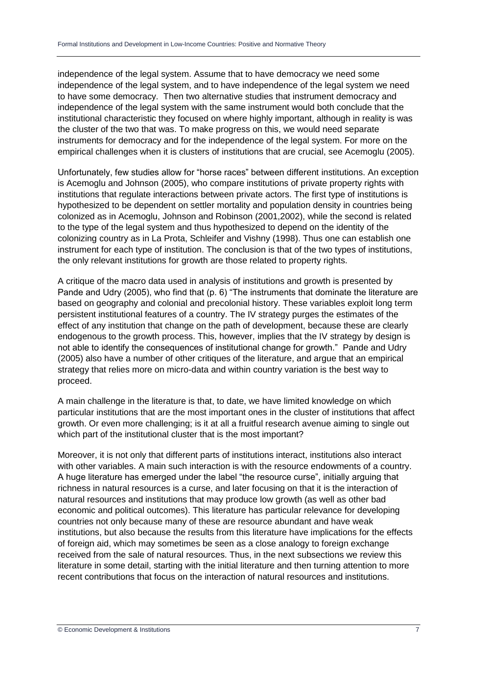independence of the legal system. Assume that to have democracy we need some independence of the legal system, and to have independence of the legal system we need to have some democracy. Then two alternative studies that instrument democracy and independence of the legal system with the same instrument would both conclude that the institutional characteristic they focused on where highly important, although in reality is was the cluster of the two that was. To make progress on this, we would need separate instruments for democracy and for the independence of the legal system. For more on the empirical challenges when it is clusters of institutions that are crucial, see Acemoglu (2005).

Unfortunately, few studies allow for "horse races" between different institutions. An exception is Acemoglu and Johnson (2005), who compare institutions of private property rights with institutions that regulate interactions between private actors. The first type of institutions is hypothesized to be dependent on settler mortality and population density in countries being colonized as in Acemoglu, Johnson and Robinson (2001,2002), while the second is related to the type of the legal system and thus hypothesized to depend on the identity of the colonizing country as in La Prota, Schleifer and Vishny (1998). Thus one can establish one instrument for each type of institution. The conclusion is that of the two types of institutions, the only relevant institutions for growth are those related to property rights.

A critique of the macro data used in analysis of institutions and growth is presented by Pande and Udry (2005), who find that (p. 6) "The instruments that dominate the literature are based on geography and colonial and precolonial history. These variables exploit long term persistent institutional features of a country. The IV strategy purges the estimates of the effect of any institution that change on the path of development, because these are clearly endogenous to the growth process. This, however, implies that the IV strategy by design is not able to identify the consequences of institutional change for growth." Pande and Udry (2005) also have a number of other critiques of the literature, and argue that an empirical strategy that relies more on micro-data and within country variation is the best way to proceed.

A main challenge in the literature is that, to date, we have limited knowledge on which particular institutions that are the most important ones in the cluster of institutions that affect growth. Or even more challenging; is it at all a fruitful research avenue aiming to single out which part of the institutional cluster that is the most important?

Moreover, it is not only that different parts of institutions interact, institutions also interact with other variables. A main such interaction is with the resource endowments of a country. A huge literature has emerged under the label "the resource curse", initially arguing that richness in natural resources is a curse, and later focusing on that it is the interaction of natural resources and institutions that may produce low growth (as well as other bad economic and political outcomes). This literature has particular relevance for developing countries not only because many of these are resource abundant and have weak institutions, but also because the results from this literature have implications for the effects of foreign aid, which may sometimes be seen as a close analogy to foreign exchange received from the sale of natural resources. Thus, in the next subsections we review this literature in some detail, starting with the initial literature and then turning attention to more recent contributions that focus on the interaction of natural resources and institutions.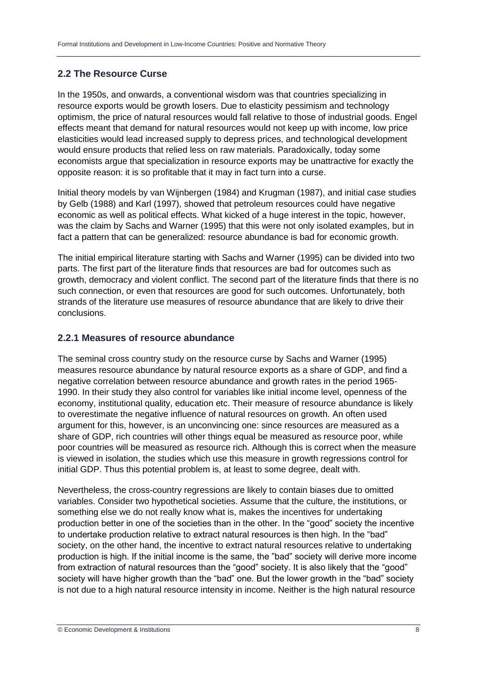#### **2.2 The Resource Curse**

In the 1950s, and onwards, a conventional wisdom was that countries specializing in resource exports would be growth losers. Due to elasticity pessimism and technology optimism, the price of natural resources would fall relative to those of industrial goods. Engel effects meant that demand for natural resources would not keep up with income, low price elasticities would lead increased supply to depress prices, and technological development would ensure products that relied less on raw materials. Paradoxically, today some economists argue that specialization in resource exports may be unattractive for exactly the opposite reason: it is so profitable that it may in fact turn into a curse.

Initial theory models by van Wijnbergen (1984) and Krugman (1987), and initial case studies by Gelb (1988) and Karl (1997), showed that petroleum resources could have negative economic as well as political effects. What kicked of a huge interest in the topic, however, was the claim by Sachs and Warner (1995) that this were not only isolated examples, but in fact a pattern that can be generalized: resource abundance is bad for economic growth.

The initial empirical literature starting with Sachs and Warner (1995) can be divided into two parts. The first part of the literature finds that resources are bad for outcomes such as growth, democracy and violent conflict. The second part of the literature finds that there is no such connection, or even that resources are good for such outcomes. Unfortunately, both strands of the literature use measures of resource abundance that are likely to drive their conclusions.

#### **2.2.1 Measures of resource abundance**

The seminal cross country study on the resource curse by Sachs and Warner (1995) measures resource abundance by natural resource exports as a share of GDP, and find a negative correlation between resource abundance and growth rates in the period 1965- 1990. In their study they also control for variables like initial income level, openness of the economy, institutional quality, education etc. Their measure of resource abundance is likely to overestimate the negative influence of natural resources on growth. An often used argument for this, however, is an unconvincing one: since resources are measured as a share of GDP, rich countries will other things equal be measured as resource poor, while poor countries will be measured as resource rich. Although this is correct when the measure is viewed in isolation, the studies which use this measure in growth regressions control for initial GDP. Thus this potential problem is, at least to some degree, dealt with.

Nevertheless, the cross-country regressions are likely to contain biases due to omitted variables. Consider two hypothetical societies. Assume that the culture, the institutions, or something else we do not really know what is, makes the incentives for undertaking production better in one of the societies than in the other. In the "good" society the incentive to undertake production relative to extract natural resources is then high. In the "bad" society, on the other hand, the incentive to extract natural resources relative to undertaking production is high. If the initial income is the same, the "bad" society will derive more income from extraction of natural resources than the "good" society. It is also likely that the "good" society will have higher growth than the "bad" one. But the lower growth in the "bad" society is not due to a high natural resource intensity in income. Neither is the high natural resource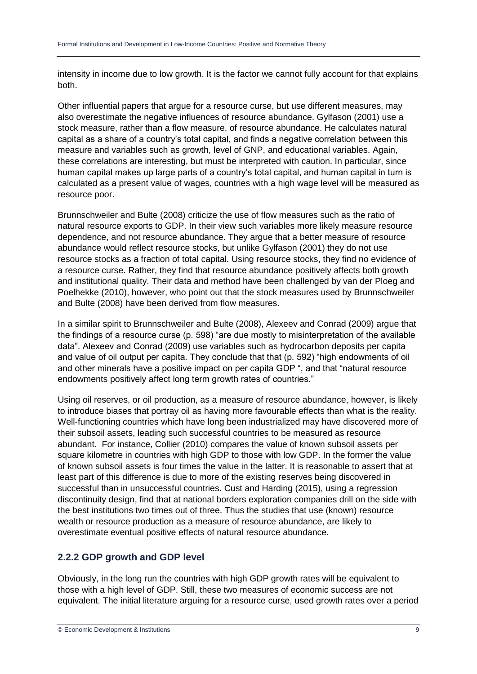intensity in income due to low growth. It is the factor we cannot fully account for that explains both.

Other influential papers that argue for a resource curse, but use different measures, may also overestimate the negative influences of resource abundance. Gylfason (2001) use a stock measure, rather than a flow measure, of resource abundance. He calculates natural capital as a share of a country's total capital, and finds a negative correlation between this measure and variables such as growth, level of GNP, and educational variables. Again, these correlations are interesting, but must be interpreted with caution. In particular, since human capital makes up large parts of a country's total capital, and human capital in turn is calculated as a present value of wages, countries with a high wage level will be measured as resource poor.

Brunnschweiler and Bulte (2008) criticize the use of flow measures such as the ratio of natural resource exports to GDP. In their view such variables more likely measure resource dependence, and not resource abundance. They argue that a better measure of resource abundance would reflect resource stocks, but unlike Gylfason (2001) they do not use resource stocks as a fraction of total capital. Using resource stocks, they find no evidence of a resource curse. Rather, they find that resource abundance positively affects both growth and institutional quality. Their data and method have been challenged by van der Ploeg and Poelhekke (2010), however, who point out that the stock measures used by Brunnschweiler and Bulte (2008) have been derived from flow measures.

In a similar spirit to Brunnschweiler and Bulte (2008), Alexeev and Conrad (2009) argue that the findings of a resource curse (p. 598) "are due mostly to misinterpretation of the available data". Alexeev and Conrad (2009) use variables such as hydrocarbon deposits per capita and value of oil output per capita. They conclude that that (p. 592) "high endowments of oil and other minerals have a positive impact on per capita GDP ", and that "natural resource endowments positively affect long term growth rates of countries."

Using oil reserves, or oil production, as a measure of resource abundance, however, is likely to introduce biases that portray oil as having more favourable effects than what is the reality. Well-functioning countries which have long been industrialized may have discovered more of their subsoil assets, leading such successful countries to be measured as resource abundant. For instance, Collier (2010) compares the value of known subsoil assets per square kilometre in countries with high GDP to those with low GDP. In the former the value of known subsoil assets is four times the value in the latter. It is reasonable to assert that at least part of this difference is due to more of the existing reserves being discovered in successful than in unsuccessful countries. Cust and Harding (2015), using a regression discontinuity design, find that at national borders exploration companies drill on the side with the best institutions two times out of three. Thus the studies that use (known) resource wealth or resource production as a measure of resource abundance, are likely to overestimate eventual positive effects of natural resource abundance.

#### **2.2.2 GDP growth and GDP level**

Obviously, in the long run the countries with high GDP growth rates will be equivalent to those with a high level of GDP. Still, these two measures of economic success are not equivalent. The initial literature arguing for a resource curse, used growth rates over a period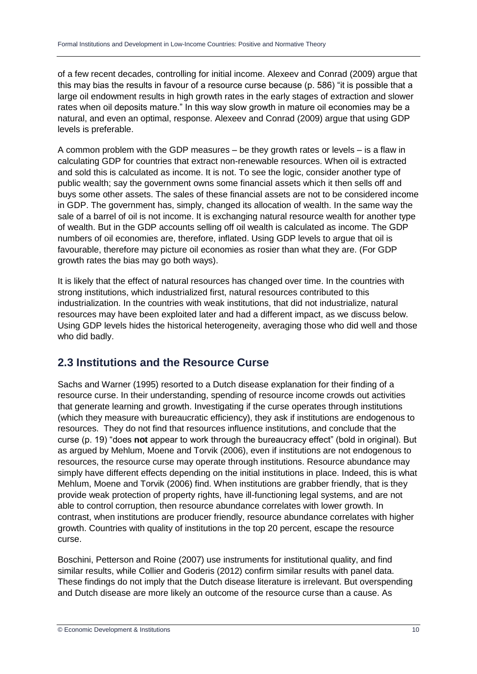of a few recent decades, controlling for initial income. Alexeev and Conrad (2009) argue that this may bias the results in favour of a resource curse because (p. 586) "it is possible that a large oil endowment results in high growth rates in the early stages of extraction and slower rates when oil deposits mature." In this way slow growth in mature oil economies may be a natural, and even an optimal, response. Alexeev and Conrad (2009) argue that using GDP levels is preferable.

A common problem with the GDP measures – be they growth rates or levels – is a flaw in calculating GDP for countries that extract non-renewable resources. When oil is extracted and sold this is calculated as income. It is not. To see the logic, consider another type of public wealth; say the government owns some financial assets which it then sells off and buys some other assets. The sales of these financial assets are not to be considered income in GDP. The government has, simply, changed its allocation of wealth. In the same way the sale of a barrel of oil is not income. It is exchanging natural resource wealth for another type of wealth. But in the GDP accounts selling off oil wealth is calculated as income. The GDP numbers of oil economies are, therefore, inflated. Using GDP levels to argue that oil is favourable, therefore may picture oil economies as rosier than what they are. (For GDP growth rates the bias may go both ways).

It is likely that the effect of natural resources has changed over time. In the countries with strong institutions, which industrialized first, natural resources contributed to this industrialization. In the countries with weak institutions, that did not industrialize, natural resources may have been exploited later and had a different impact, as we discuss below. Using GDP levels hides the historical heterogeneity, averaging those who did well and those who did badly.

### **2.3 Institutions and the Resource Curse**

Sachs and Warner (1995) resorted to a Dutch disease explanation for their finding of a resource curse. In their understanding, spending of resource income crowds out activities that generate learning and growth. Investigating if the curse operates through institutions (which they measure with bureaucratic efficiency), they ask if institutions are endogenous to resources. They do not find that resources influence institutions, and conclude that the curse (p. 19) "does **not** appear to work through the bureaucracy effect" (bold in original). But as argued by Mehlum, Moene and Torvik (2006), even if institutions are not endogenous to resources, the resource curse may operate through institutions. Resource abundance may simply have different effects depending on the initial institutions in place. Indeed, this is what Mehlum, Moene and Torvik (2006) find. When institutions are grabber friendly, that is they provide weak protection of property rights, have ill-functioning legal systems, and are not able to control corruption, then resource abundance correlates with lower growth. In contrast, when institutions are producer friendly, resource abundance correlates with higher growth. Countries with quality of institutions in the top 20 percent, escape the resource curse.

Boschini, Petterson and Roine (2007) use instruments for institutional quality, and find similar results, while Collier and Goderis (2012) confirm similar results with panel data. These findings do not imply that the Dutch disease literature is irrelevant. But overspending and Dutch disease are more likely an outcome of the resource curse than a cause. As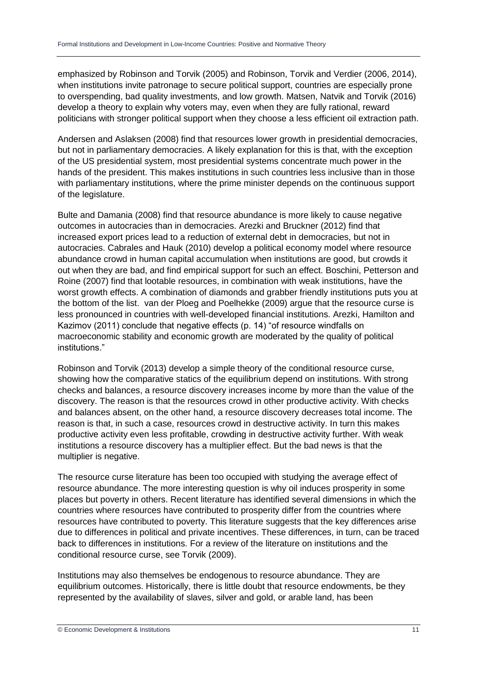emphasized by Robinson and Torvik (2005) and Robinson, Torvik and Verdier (2006, 2014), when institutions invite patronage to secure political support, countries are especially prone to overspending, bad quality investments, and low growth. Matsen, Natvik and Torvik (2016) develop a theory to explain why voters may, even when they are fully rational, reward politicians with stronger political support when they choose a less efficient oil extraction path.

Andersen and Aslaksen (2008) find that resources lower growth in presidential democracies, but not in parliamentary democracies. A likely explanation for this is that, with the exception of the US presidential system, most presidential systems concentrate much power in the hands of the president. This makes institutions in such countries less inclusive than in those with parliamentary institutions, where the prime minister depends on the continuous support of the legislature.

Bulte and Damania (2008) find that resource abundance is more likely to cause negative outcomes in autocracies than in democracies. Arezki and Bruckner (2012) find that increased export prices lead to a reduction of external debt in democracies, but not in autocracies. Cabrales and Hauk (2010) develop a political economy model where resource abundance crowd in human capital accumulation when institutions are good, but crowds it out when they are bad, and find empirical support for such an effect. Boschini, Petterson and Roine (2007) find that lootable resources, in combination with weak institutions, have the worst growth effects. A combination of diamonds and grabber friendly institutions puts you at the bottom of the list. van der Ploeg and Poelhekke (2009) argue that the resource curse is less pronounced in countries with well-developed financial institutions. Arezki, Hamilton and Kazimov (2011) conclude that negative effects (p. 14) "of resource windfalls on macroeconomic stability and economic growth are moderated by the quality of political institutions."

Robinson and Torvik (2013) develop a simple theory of the conditional resource curse, showing how the comparative statics of the equilibrium depend on institutions. With strong checks and balances, a resource discovery increases income by more than the value of the discovery. The reason is that the resources crowd in other productive activity. With checks and balances absent, on the other hand, a resource discovery decreases total income. The reason is that, in such a case, resources crowd in destructive activity. In turn this makes productive activity even less profitable, crowding in destructive activity further. With weak institutions a resource discovery has a multiplier effect. But the bad news is that the multiplier is negative.

The resource curse literature has been too occupied with studying the average effect of resource abundance. The more interesting question is why oil induces prosperity in some places but poverty in others. Recent literature has identified several dimensions in which the countries where resources have contributed to prosperity differ from the countries where resources have contributed to poverty. This literature suggests that the key differences arise due to differences in political and private incentives. These differences, in turn, can be traced back to differences in institutions. For a review of the literature on institutions and the conditional resource curse, see Torvik (2009).

Institutions may also themselves be endogenous to resource abundance. They are equilibrium outcomes. Historically, there is little doubt that resource endowments, be they represented by the availability of slaves, silver and gold, or arable land, has been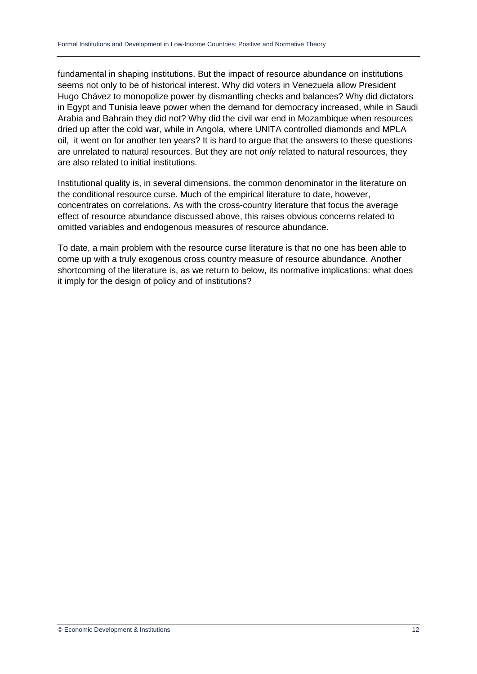fundamental in shaping institutions. But the impact of resource abundance on institutions seems not only to be of historical interest. Why did voters in Venezuela allow President Hugo Chávez to monopolize power by dismantling checks and balances? Why did dictators in Egypt and Tunisia leave power when the demand for democracy increased, while in Saudi Arabia and Bahrain they did not? Why did the civil war end in Mozambique when resources dried up after the cold war, while in Angola, where UNITA controlled diamonds and MPLA oil, it went on for another ten years? It is hard to argue that the answers to these questions are unrelated to natural resources. But they are not *only* related to natural resources, they are also related to initial institutions.

Institutional quality is, in several dimensions, the common denominator in the literature on the conditional resource curse. Much of the empirical literature to date, however, concentrates on correlations. As with the cross-country literature that focus the average effect of resource abundance discussed above, this raises obvious concerns related to omitted variables and endogenous measures of resource abundance.

To date, a main problem with the resource curse literature is that no one has been able to come up with a truly exogenous cross country measure of resource abundance. Another shortcoming of the literature is, as we return to below, its normative implications: what does it imply for the design of policy and of institutions?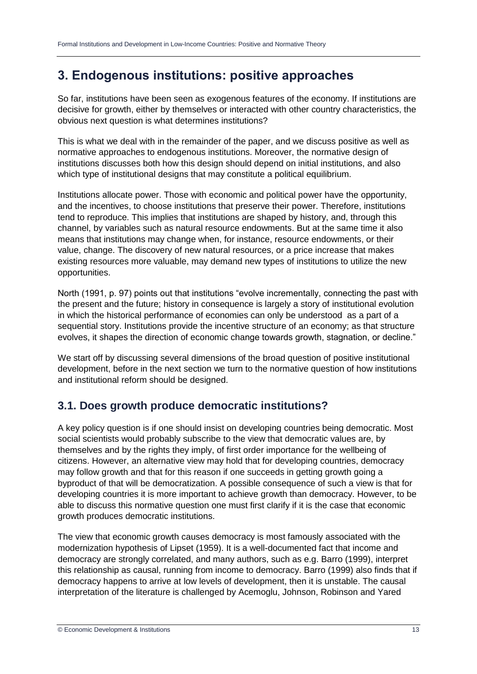# **3. Endogenous institutions: positive approaches**

So far, institutions have been seen as exogenous features of the economy. If institutions are decisive for growth, either by themselves or interacted with other country characteristics, the obvious next question is what determines institutions?

This is what we deal with in the remainder of the paper, and we discuss positive as well as normative approaches to endogenous institutions. Moreover, the normative design of institutions discusses both how this design should depend on initial institutions, and also which type of institutional designs that may constitute a political equilibrium.

Institutions allocate power. Those with economic and political power have the opportunity, and the incentives, to choose institutions that preserve their power. Therefore, institutions tend to reproduce. This implies that institutions are shaped by history, and, through this channel, by variables such as natural resource endowments. But at the same time it also means that institutions may change when, for instance, resource endowments, or their value, change. The discovery of new natural resources, or a price increase that makes existing resources more valuable, may demand new types of institutions to utilize the new opportunities.

North (1991, p. 97) points out that institutions "evolve incrementally, connecting the past with the present and the future; history in consequence is largely a story of institutional evolution in which the historical performance of economies can only be understood as a part of a sequential story. Institutions provide the incentive structure of an economy; as that structure evolves, it shapes the direction of economic change towards growth, stagnation, or decline."

We start off by discussing several dimensions of the broad question of positive institutional development, before in the next section we turn to the normative question of how institutions and institutional reform should be designed.

### **3.1. Does growth produce democratic institutions?**

A key policy question is if one should insist on developing countries being democratic. Most social scientists would probably subscribe to the view that democratic values are, by themselves and by the rights they imply, of first order importance for the wellbeing of citizens. However, an alternative view may hold that for developing countries, democracy may follow growth and that for this reason if one succeeds in getting growth going a byproduct of that will be democratization. A possible consequence of such a view is that for developing countries it is more important to achieve growth than democracy. However, to be able to discuss this normative question one must first clarify if it is the case that economic growth produces democratic institutions.

The view that economic growth causes democracy is most famously associated with the modernization hypothesis of Lipset (1959). It is a well-documented fact that income and democracy are strongly correlated, and many authors, such as e.g. Barro (1999), interpret this relationship as causal, running from income to democracy. Barro (1999) also finds that if democracy happens to arrive at low levels of development, then it is unstable. The causal interpretation of the literature is challenged by Acemoglu, Johnson, Robinson and Yared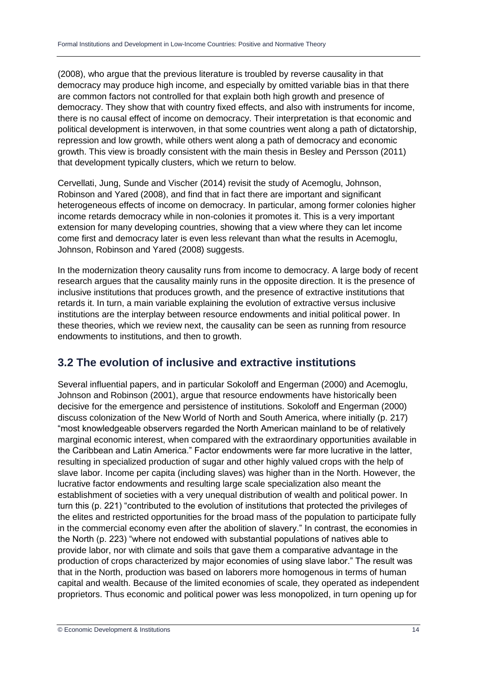(2008), who argue that the previous literature is troubled by reverse causality in that democracy may produce high income, and especially by omitted variable bias in that there are common factors not controlled for that explain both high growth and presence of democracy. They show that with country fixed effects, and also with instruments for income, there is no causal effect of income on democracy. Their interpretation is that economic and political development is interwoven, in that some countries went along a path of dictatorship, repression and low growth, while others went along a path of democracy and economic growth. This view is broadly consistent with the main thesis in Besley and Persson (2011) that development typically clusters, which we return to below.

Cervellati, Jung, Sunde and Vischer (2014) revisit the study of Acemoglu, Johnson, Robinson and Yared (2008), and find that in fact there are important and significant heterogeneous effects of income on democracy. In particular, among former colonies higher income retards democracy while in non-colonies it promotes it. This is a very important extension for many developing countries, showing that a view where they can let income come first and democracy later is even less relevant than what the results in Acemoglu, Johnson, Robinson and Yared (2008) suggests.

In the modernization theory causality runs from income to democracy. A large body of recent research argues that the causality mainly runs in the opposite direction. It is the presence of inclusive institutions that produces growth, and the presence of extractive institutions that retards it. In turn, a main variable explaining the evolution of extractive versus inclusive institutions are the interplay between resource endowments and initial political power. In these theories, which we review next, the causality can be seen as running from resource endowments to institutions, and then to growth.

### **3.2 The evolution of inclusive and extractive institutions**

Several influential papers, and in particular Sokoloff and Engerman (2000) and Acemoglu, Johnson and Robinson (2001), argue that resource endowments have historically been decisive for the emergence and persistence of institutions. Sokoloff and Engerman (2000) discuss colonization of the New World of North and South America, where initially (p. 217) "most knowledgeable observers regarded the North American mainland to be of relatively marginal economic interest, when compared with the extraordinary opportunities available in the Caribbean and Latin America." Factor endowments were far more lucrative in the latter, resulting in specialized production of sugar and other highly valued crops with the help of slave labor. Income per capita (including slaves) was higher than in the North. However, the lucrative factor endowments and resulting large scale specialization also meant the establishment of societies with a very unequal distribution of wealth and political power. In turn this (p. 221) "contributed to the evolution of institutions that protected the privileges of the elites and restricted opportunities for the broad mass of the population to participate fully in the commercial economy even after the abolition of slavery." In contrast, the economies in the North (p. 223) "where not endowed with substantial populations of natives able to provide labor, nor with climate and soils that gave them a comparative advantage in the production of crops characterized by major economies of using slave labor." The result was that in the North, production was based on laborers more homogenous in terms of human capital and wealth. Because of the limited economies of scale, they operated as independent proprietors. Thus economic and political power was less monopolized, in turn opening up for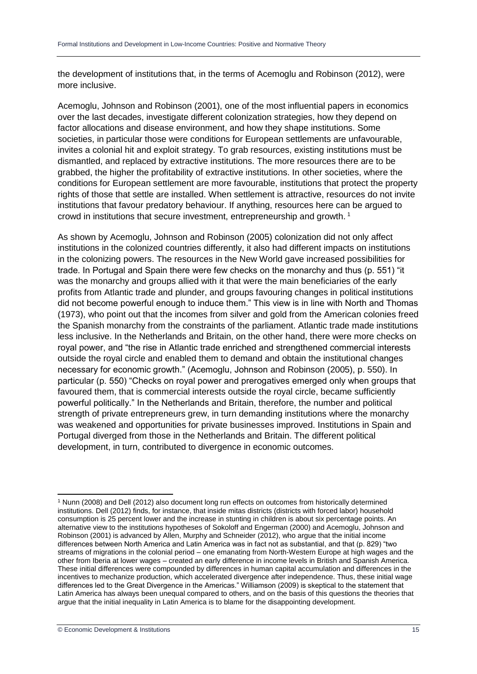the development of institutions that, in the terms of Acemoglu and Robinson (2012), were more inclusive.

Acemoglu, Johnson and Robinson (2001), one of the most influential papers in economics over the last decades, investigate different colonization strategies, how they depend on factor allocations and disease environment, and how they shape institutions. Some societies, in particular those were conditions for European settlements are unfavourable, invites a colonial hit and exploit strategy. To grab resources, existing institutions must be dismantled, and replaced by extractive institutions. The more resources there are to be grabbed, the higher the profitability of extractive institutions. In other societies, where the conditions for European settlement are more favourable, institutions that protect the property rights of those that settle are installed. When settlement is attractive, resources do not invite institutions that favour predatory behaviour. If anything, resources here can be argued to crowd in institutions that secure investment, entrepreneurship and growth. <sup>1</sup>

As shown by Acemoglu, Johnson and Robinson (2005) colonization did not only affect institutions in the colonized countries differently, it also had different impacts on institutions in the colonizing powers. The resources in the New World gave increased possibilities for trade. In Portugal and Spain there were few checks on the monarchy and thus (p. 551) "it was the monarchy and groups allied with it that were the main beneficiaries of the early profits from Atlantic trade and plunder, and groups favouring changes in political institutions did not become powerful enough to induce them." This view is in line with North and Thomas (1973), who point out that the incomes from silver and gold from the American colonies freed the Spanish monarchy from the constraints of the parliament. Atlantic trade made institutions less inclusive. In the Netherlands and Britain, on the other hand, there were more checks on royal power, and "the rise in Atlantic trade enriched and strengthened commercial interests outside the royal circle and enabled them to demand and obtain the institutional changes necessary for economic growth." (Acemoglu, Johnson and Robinson (2005), p. 550). In particular (p. 550) "Checks on royal power and prerogatives emerged only when groups that favoured them, that is commercial interests outside the royal circle, became sufficiently powerful politically." In the Netherlands and Britain, therefore, the number and political strength of private entrepreneurs grew, in turn demanding institutions where the monarchy was weakened and opportunities for private businesses improved. Institutions in Spain and Portugal diverged from those in the Netherlands and Britain. The different political development, in turn, contributed to divergence in economic outcomes.

-

<sup>1</sup> Nunn (2008) and Dell (2012) also document long run effects on outcomes from historically determined institutions. Dell (2012) finds, for instance, that inside mitas districts (districts with forced labor) household consumption is 25 percent lower and the increase in stunting in children is about six percentage points. An alternative view to the institutions hypotheses of Sokoloff and Engerman (2000) and Acemoglu, Johnson and Robinson (2001) is advanced by Allen, Murphy and Schneider (2012), who argue that the initial income differences between North America and Latin America was in fact not as substantial, and that (p. 829) "two streams of migrations in the colonial period – one emanating from North-Western Europe at high wages and the other from Iberia at lower wages – created an early difference in income levels in British and Spanish America. These initial differences were compounded by differences in human capital accumulation and differences in the incentives to mechanize production, which accelerated divergence after independence. Thus, these initial wage differences led to the Great Divergence in the Americas." Williamson (2009) is skeptical to the statement that Latin America has always been unequal compared to others, and on the basis of this questions the theories that argue that the initial inequality in Latin America is to blame for the disappointing development.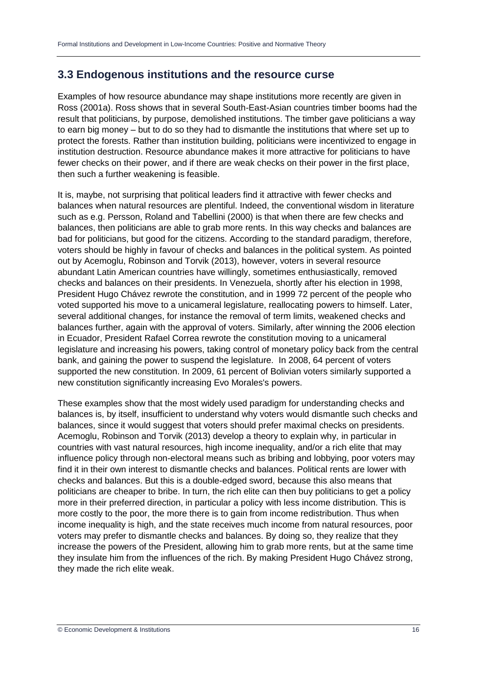### **3.3 Endogenous institutions and the resource curse**

Examples of how resource abundance may shape institutions more recently are given in Ross (2001a). Ross shows that in several South-East-Asian countries timber booms had the result that politicians, by purpose, demolished institutions. The timber gave politicians a way to earn big money – but to do so they had to dismantle the institutions that where set up to protect the forests. Rather than institution building, politicians were incentivized to engage in institution destruction. Resource abundance makes it more attractive for politicians to have fewer checks on their power, and if there are weak checks on their power in the first place, then such a further weakening is feasible.

It is, maybe, not surprising that political leaders find it attractive with fewer checks and balances when natural resources are plentiful. Indeed, the conventional wisdom in literature such as e.g. Persson, Roland and Tabellini (2000) is that when there are few checks and balances, then politicians are able to grab more rents. In this way checks and balances are bad for politicians, but good for the citizens. According to the standard paradigm, therefore, voters should be highly in favour of checks and balances in the political system. As pointed out by Acemoglu, Robinson and Torvik (2013), however, voters in several resource abundant Latin American countries have willingly, sometimes enthusiastically, removed checks and balances on their presidents. In Venezuela, shortly after his election in 1998, President Hugo Chávez rewrote the constitution, and in 1999 72 percent of the people who voted supported his move to a unicameral legislature, reallocating powers to himself. Later, several additional changes, for instance the removal of term limits, weakened checks and balances further, again with the approval of voters. Similarly, after winning the 2006 election in Ecuador, President Rafael Correa rewrote the constitution moving to a unicameral legislature and increasing his powers, taking control of monetary policy back from the central bank, and gaining the power to suspend the legislature. In 2008, 64 percent of voters supported the new constitution. In 2009, 61 percent of Bolivian voters similarly supported a new constitution significantly increasing Evo Morales's powers.

These examples show that the most widely used paradigm for understanding checks and balances is, by itself, insufficient to understand why voters would dismantle such checks and balances, since it would suggest that voters should prefer maximal checks on presidents. Acemoglu, Robinson and Torvik (2013) develop a theory to explain why, in particular in countries with vast natural resources, high income inequality, and/or a rich elite that may influence policy through non-electoral means such as bribing and lobbying, poor voters may find it in their own interest to dismantle checks and balances. Political rents are lower with checks and balances. But this is a double-edged sword, because this also means that politicians are cheaper to bribe. In turn, the rich elite can then buy politicians to get a policy more in their preferred direction, in particular a policy with less income distribution. This is more costly to the poor, the more there is to gain from income redistribution. Thus when income inequality is high, and the state receives much income from natural resources, poor voters may prefer to dismantle checks and balances. By doing so, they realize that they increase the powers of the President, allowing him to grab more rents, but at the same time they insulate him from the influences of the rich. By making President Hugo Chávez strong, they made the rich elite weak.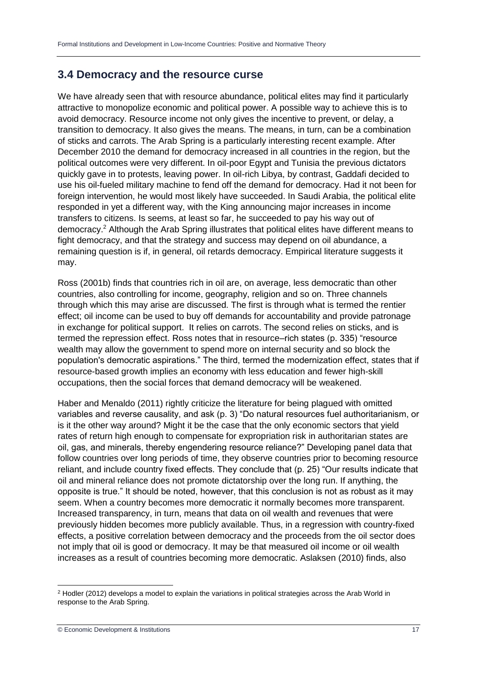#### **3.4 Democracy and the resource curse**

We have already seen that with resource abundance, political elites may find it particularly attractive to monopolize economic and political power. A possible way to achieve this is to avoid democracy. Resource income not only gives the incentive to prevent, or delay, a transition to democracy. It also gives the means. The means, in turn, can be a combination of sticks and carrots. The Arab Spring is a particularly interesting recent example. After December 2010 the demand for democracy increased in all countries in the region, but the political outcomes were very different. In oil-poor Egypt and Tunisia the previous dictators quickly gave in to protests, leaving power. In oil-rich Libya, by contrast, Gaddafi decided to use his oil-fueled military machine to fend off the demand for democracy. Had it not been for foreign intervention, he would most likely have succeeded. In Saudi Arabia, the political elite responded in yet a different way, with the King announcing major increases in income transfers to citizens. Is seems, at least so far, he succeeded to pay his way out of democracy.<sup>2</sup> Although the Arab Spring illustrates that political elites have different means to fight democracy, and that the strategy and success may depend on oil abundance, a remaining question is if, in general, oil retards democracy. Empirical literature suggests it may.

Ross (2001b) finds that countries rich in oil are, on average, less democratic than other countries, also controlling for income, geography, religion and so on. Three channels through which this may arise are discussed. The first is through what is termed the rentier effect; oil income can be used to buy off demands for accountability and provide patronage in exchange for political support. It relies on carrots. The second relies on sticks, and is termed the repression effect. Ross notes that in resource–rich states (p. 335) "resource wealth may allow the government to spend more on internal security and so block the population's democratic aspirations." The third, termed the modernization effect, states that if resource-based growth implies an economy with less education and fewer high-skill occupations, then the social forces that demand democracy will be weakened.

Haber and Menaldo (2011) rightly criticize the literature for being plagued with omitted variables and reverse causality, and ask (p. 3) "Do natural resources fuel authoritarianism, or is it the other way around? Might it be the case that the only economic sectors that yield rates of return high enough to compensate for expropriation risk in authoritarian states are oil, gas, and minerals, thereby engendering resource reliance?" Developing panel data that follow countries over long periods of time, they observe countries prior to becoming resource reliant, and include country fixed effects. They conclude that (p. 25) "Our results indicate that oil and mineral reliance does not promote dictatorship over the long run. If anything, the opposite is true." It should be noted, however, that this conclusion is not as robust as it may seem. When a country becomes more democratic it normally becomes more transparent. Increased transparency, in turn, means that data on oil wealth and revenues that were previously hidden becomes more publicly available. Thus, in a regression with country-fixed effects, a positive correlation between democracy and the proceeds from the oil sector does not imply that oil is good or democracy. It may be that measured oil income or oil wealth increases as a result of countries becoming more democratic. Aslaksen (2010) finds, also

<sup>-</sup><sup>2</sup> Hodler (2012) develops a model to explain the variations in political strategies across the Arab World in response to the Arab Spring.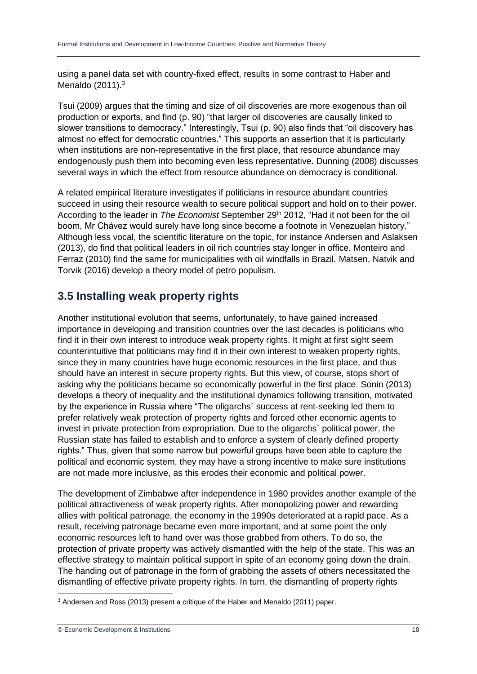using a panel data set with country-fixed effect, results in some contrast to Haber and Menaldo (2011).<sup>3</sup>

Tsui (2009) argues that the timing and size of oil discoveries are more exogenous than oil production or exports, and find (p. 90) "that larger oil discoveries are causally linked to slower transitions to democracy." Interestingly, Tsui (p. 90) also finds that "oil discovery has almost no effect for democratic countries." This supports an assertion that it is particularly when institutions are non-representative in the first place, that resource abundance may endogenously push them into becoming even less representative. Dunning (2008) discusses several ways in which the effect from resource abundance on democracy is conditional.

A related empirical literature investigates if politicians in resource abundant countries succeed in using their resource wealth to secure political support and hold on to their power. According to the leader in *The Economist* September 29<sup>th</sup> 2012, "Had it not been for the oil boom, Mr Chávez would surely have long since become a footnote in Venezuelan history." Although less vocal, the scientific literature on the topic, for instance Andersen and Aslaksen (2013), do find that political leaders in oil rich countries stay longer in office. Monteiro and Ferraz (2010) find the same for municipalities with oil windfalls in Brazil. Matsen, Natvik and Torvik (2016) develop a theory model of petro populism.

### **3.5 Installing weak property rights**

Another institutional evolution that seems, unfortunately, to have gained increased importance in developing and transition countries over the last decades is politicians who find it in their own interest to introduce weak property rights. It might at first sight seem counterintuitive that politicians may find it in their own interest to weaken property rights, since they in many countries have huge economic resources in the first place, and thus should have an interest in secure property rights. But this view, of course, stops short of asking why the politicians became so economically powerful in the first place. Sonin (2013) develops a theory of inequality and the institutional dynamics following transition, motivated by the experience in Russia where "The oligarchs` success at rent-seeking led them to prefer relatively weak protection of property rights and forced other economic agents to invest in private protection from expropriation. Due to the oligarchs` political power, the Russian state has failed to establish and to enforce a system of clearly defined property rights." Thus, given that some narrow but powerful groups have been able to capture the political and economic system, they may have a strong incentive to make sure institutions are not made more inclusive, as this erodes their economic and political power.

The development of Zimbabwe after independence in 1980 provides another example of the political attractiveness of weak property rights. After monopolizing power and rewarding allies with political patronage, the economy in the 1990s deteriorated at a rapid pace. As a result, receiving patronage became even more important, and at some point the only economic resources left to hand over was those grabbed from others. To do so, the protection of private property was actively dismantled with the help of the state. This was an effective strategy to maintain political support in spite of an economy going down the drain. The handing out of patronage in the form of grabbing the assets of others necessitated the dismantling of effective private property rights. In turn, the dismantling of property rights

-

<sup>3</sup> Andersen and Ross (2013) present a critique of the Haber and Menaldo (2011) paper.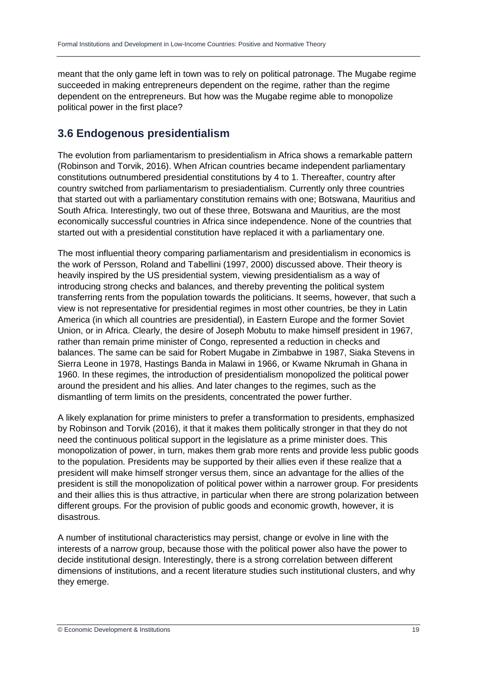meant that the only game left in town was to rely on political patronage. The Mugabe regime succeeded in making entrepreneurs dependent on the regime, rather than the regime dependent on the entrepreneurs. But how was the Mugabe regime able to monopolize political power in the first place?

### **3.6 Endogenous presidentialism**

The evolution from parliamentarism to presidentialism in Africa shows a remarkable pattern (Robinson and Torvik, 2016). When African countries became independent parliamentary constitutions outnumbered presidential constitutions by 4 to 1. Thereafter, country after country switched from parliamentarism to presiadentialism. Currently only three countries that started out with a parliamentary constitution remains with one; Botswana, Mauritius and South Africa. Interestingly, two out of these three, Botswana and Mauritius, are the most economically successful countries in Africa since independence. None of the countries that started out with a presidential constitution have replaced it with a parliamentary one.

The most influential theory comparing parliamentarism and presidentialism in economics is the work of Persson, Roland and Tabellini (1997, 2000) discussed above. Their theory is heavily inspired by the US presidential system, viewing presidentialism as a way of introducing strong checks and balances, and thereby preventing the political system transferring rents from the population towards the politicians. It seems, however, that such a view is not representative for presidential regimes in most other countries, be they in Latin America (in which all countries are presidential), in Eastern Europe and the former Soviet Union, or in Africa. Clearly, the desire of Joseph Mobutu to make himself president in 1967, rather than remain prime minister of Congo, represented a reduction in checks and balances. The same can be said for Robert Mugabe in Zimbabwe in 1987, Siaka Stevens in Sierra Leone in 1978, Hastings Banda in Malawi in 1966, or Kwame Nkrumah in Ghana in 1960. In these regimes, the introduction of presidentialism monopolized the political power around the president and his allies. And later changes to the regimes, such as the dismantling of term limits on the presidents, concentrated the power further.

A likely explanation for prime ministers to prefer a transformation to presidents, emphasized by Robinson and Torvik (2016), it that it makes them politically stronger in that they do not need the continuous political support in the legislature as a prime minister does. This monopolization of power, in turn, makes them grab more rents and provide less public goods to the population. Presidents may be supported by their allies even if these realize that a president will make himself stronger versus them, since an advantage for the allies of the president is still the monopolization of political power within a narrower group. For presidents and their allies this is thus attractive, in particular when there are strong polarization between different groups. For the provision of public goods and economic growth, however, it is disastrous.

A number of institutional characteristics may persist, change or evolve in line with the interests of a narrow group, because those with the political power also have the power to decide institutional design. Interestingly, there is a strong correlation between different dimensions of institutions, and a recent literature studies such institutional clusters, and why they emerge.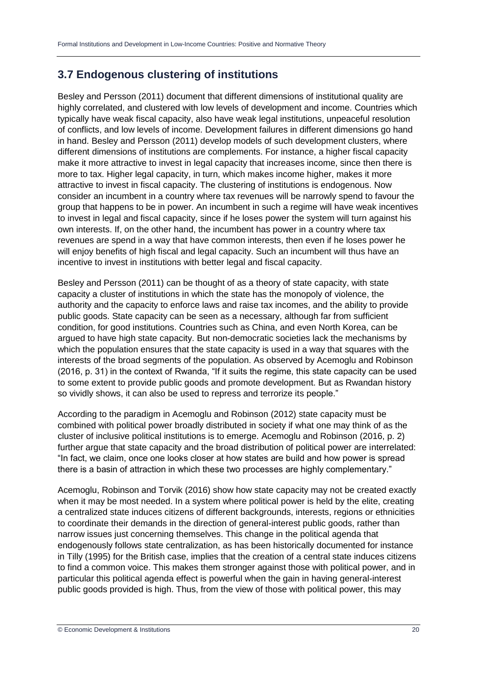### **3.7 Endogenous clustering of institutions**

Besley and Persson (2011) document that different dimensions of institutional quality are highly correlated, and clustered with low levels of development and income. Countries which typically have weak fiscal capacity, also have weak legal institutions, unpeaceful resolution of conflicts, and low levels of income. Development failures in different dimensions go hand in hand. Besley and Persson (2011) develop models of such development clusters, where different dimensions of institutions are complements. For instance, a higher fiscal capacity make it more attractive to invest in legal capacity that increases income, since then there is more to tax. Higher legal capacity, in turn, which makes income higher, makes it more attractive to invest in fiscal capacity. The clustering of institutions is endogenous. Now consider an incumbent in a country where tax revenues will be narrowly spend to favour the group that happens to be in power. An incumbent in such a regime will have weak incentives to invest in legal and fiscal capacity, since if he loses power the system will turn against his own interests. If, on the other hand, the incumbent has power in a country where tax revenues are spend in a way that have common interests, then even if he loses power he will enjoy benefits of high fiscal and legal capacity. Such an incumbent will thus have an incentive to invest in institutions with better legal and fiscal capacity.

Besley and Persson (2011) can be thought of as a theory of state capacity, with state capacity a cluster of institutions in which the state has the monopoly of violence, the authority and the capacity to enforce laws and raise tax incomes, and the ability to provide public goods. State capacity can be seen as a necessary, although far from sufficient condition, for good institutions. Countries such as China, and even North Korea, can be argued to have high state capacity. But non-democratic societies lack the mechanisms by which the population ensures that the state capacity is used in a way that squares with the interests of the broad segments of the population. As observed by Acemoglu and Robinson (2016, p. 31) in the context of Rwanda, "If it suits the regime, this state capacity can be used to some extent to provide public goods and promote development. But as Rwandan history so vividly shows, it can also be used to repress and terrorize its people."

According to the paradigm in Acemoglu and Robinson (2012) state capacity must be combined with political power broadly distributed in society if what one may think of as the cluster of inclusive political institutions is to emerge. Acemoglu and Robinson (2016, p. 2) further argue that state capacity and the broad distribution of political power are interrelated: "In fact, we claim, once one looks closer at how states are build and how power is spread there is a basin of attraction in which these two processes are highly complementary."

Acemoglu, Robinson and Torvik (2016) show how state capacity may not be created exactly when it may be most needed. In a system where political power is held by the elite, creating a centralized state induces citizens of different backgrounds, interests, regions or ethnicities to coordinate their demands in the direction of general-interest public goods, rather than narrow issues just concerning themselves. This change in the political agenda that endogenously follows state centralization, as has been historically documented for instance in Tilly (1995) for the British case, implies that the creation of a central state induces citizens to find a common voice. This makes them stronger against those with political power, and in particular this political agenda effect is powerful when the gain in having general-interest public goods provided is high. Thus, from the view of those with political power, this may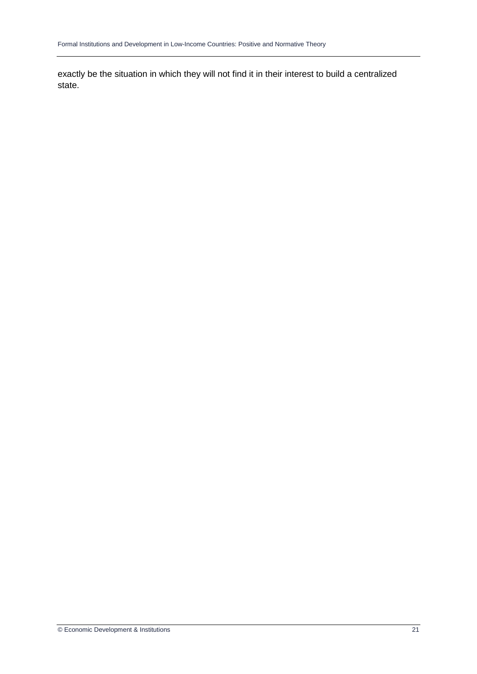exactly be the situation in which they will not find it in their interest to build a centralized state.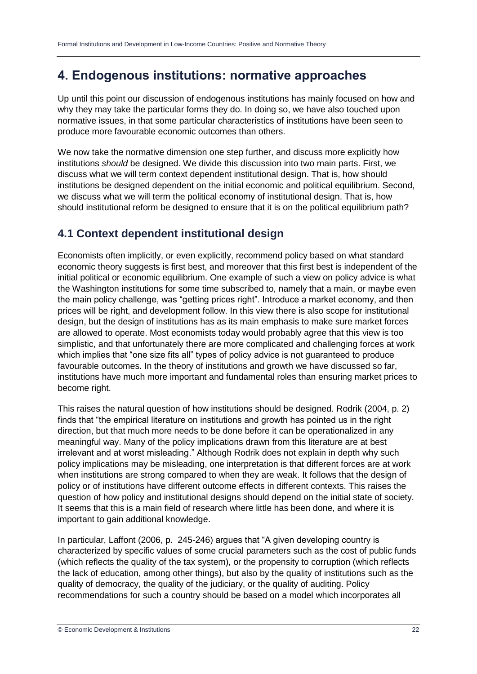## **4. Endogenous institutions: normative approaches**

Up until this point our discussion of endogenous institutions has mainly focused on how and why they may take the particular forms they do. In doing so, we have also touched upon normative issues, in that some particular characteristics of institutions have been seen to produce more favourable economic outcomes than others.

We now take the normative dimension one step further, and discuss more explicitly how institutions *should* be designed. We divide this discussion into two main parts. First, we discuss what we will term context dependent institutional design. That is, how should institutions be designed dependent on the initial economic and political equilibrium. Second, we discuss what we will term the political economy of institutional design. That is, how should institutional reform be designed to ensure that it is on the political equilibrium path?

### **4.1 Context dependent institutional design**

Economists often implicitly, or even explicitly, recommend policy based on what standard economic theory suggests is first best, and moreover that this first best is independent of the initial political or economic equilibrium. One example of such a view on policy advice is what the Washington institutions for some time subscribed to, namely that a main, or maybe even the main policy challenge, was "getting prices right". Introduce a market economy, and then prices will be right, and development follow. In this view there is also scope for institutional design, but the design of institutions has as its main emphasis to make sure market forces are allowed to operate. Most economists today would probably agree that this view is too simplistic, and that unfortunately there are more complicated and challenging forces at work which implies that "one size fits all" types of policy advice is not guaranteed to produce favourable outcomes. In the theory of institutions and growth we have discussed so far, institutions have much more important and fundamental roles than ensuring market prices to become right.

This raises the natural question of how institutions should be designed. Rodrik (2004, p. 2) finds that "the empirical literature on institutions and growth has pointed us in the right direction, but that much more needs to be done before it can be operationalized in any meaningful way. Many of the policy implications drawn from this literature are at best irrelevant and at worst misleading." Although Rodrik does not explain in depth why such policy implications may be misleading, one interpretation is that different forces are at work when institutions are strong compared to when they are weak. It follows that the design of policy or of institutions have different outcome effects in different contexts. This raises the question of how policy and institutional designs should depend on the initial state of society. It seems that this is a main field of research where little has been done, and where it is important to gain additional knowledge.

In particular, Laffont (2006, p. 245-246) argues that "A given developing country is characterized by specific values of some crucial parameters such as the cost of public funds (which reflects the quality of the tax system), or the propensity to corruption (which reflects the lack of education, among other things), but also by the quality of institutions such as the quality of democracy, the quality of the judiciary, or the quality of auditing. Policy recommendations for such a country should be based on a model which incorporates all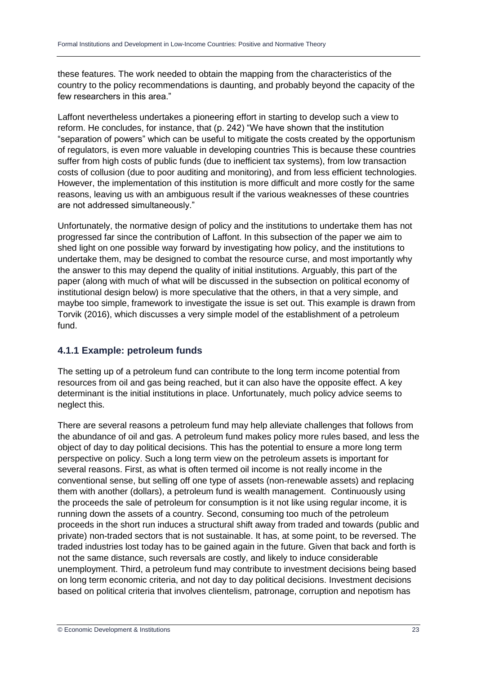these features. The work needed to obtain the mapping from the characteristics of the country to the policy recommendations is daunting, and probably beyond the capacity of the few researchers in this area."

Laffont nevertheless undertakes a pioneering effort in starting to develop such a view to reform. He concludes, for instance, that (p. 242) "We have shown that the institution "separation of powers" which can be useful to mitigate the costs created by the opportunism of regulators, is even more valuable in developing countries This is because these countries suffer from high costs of public funds (due to inefficient tax systems), from low transaction costs of collusion (due to poor auditing and monitoring), and from less efficient technologies. However, the implementation of this institution is more difficult and more costly for the same reasons, leaving us with an ambiguous result if the various weaknesses of these countries are not addressed simultaneously."

Unfortunately, the normative design of policy and the institutions to undertake them has not progressed far since the contribution of Laffont. In this subsection of the paper we aim to shed light on one possible way forward by investigating how policy, and the institutions to undertake them, may be designed to combat the resource curse, and most importantly why the answer to this may depend the quality of initial institutions. Arguably, this part of the paper (along with much of what will be discussed in the subsection on political economy of institutional design below) is more speculative that the others, in that a very simple, and maybe too simple, framework to investigate the issue is set out. This example is drawn from Torvik (2016), which discusses a very simple model of the establishment of a petroleum fund.

#### **4.1.1 Example: petroleum funds**

The setting up of a petroleum fund can contribute to the long term income potential from resources from oil and gas being reached, but it can also have the opposite effect. A key determinant is the initial institutions in place. Unfortunately, much policy advice seems to neglect this.

There are several reasons a petroleum fund may help alleviate challenges that follows from the abundance of oil and gas. A petroleum fund makes policy more rules based, and less the object of day to day political decisions. This has the potential to ensure a more long term perspective on policy. Such a long term view on the petroleum assets is important for several reasons. First, as what is often termed oil income is not really income in the conventional sense, but selling off one type of assets (non-renewable assets) and replacing them with another (dollars), a petroleum fund is wealth management. Continuously using the proceeds the sale of petroleum for consumption is it not like using regular income, it is running down the assets of a country. Second, consuming too much of the petroleum proceeds in the short run induces a structural shift away from traded and towards (public and private) non-traded sectors that is not sustainable. It has, at some point, to be reversed. The traded industries lost today has to be gained again in the future. Given that back and forth is not the same distance, such reversals are costly, and likely to induce considerable unemployment. Third, a petroleum fund may contribute to investment decisions being based on long term economic criteria, and not day to day political decisions. Investment decisions based on political criteria that involves clientelism, patronage, corruption and nepotism has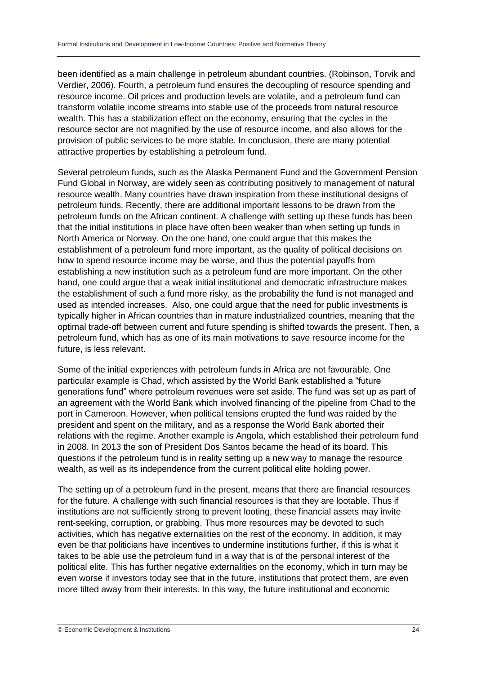been identified as a main challenge in petroleum abundant countries. (Robinson, Torvik and Verdier, 2006). Fourth, a petroleum fund ensures the decoupling of resource spending and resource income. Oil prices and production levels are volatile, and a petroleum fund can transform volatile income streams into stable use of the proceeds from natural resource wealth. This has a stabilization effect on the economy, ensuring that the cycles in the resource sector are not magnified by the use of resource income, and also allows for the provision of public services to be more stable. In conclusion, there are many potential attractive properties by establishing a petroleum fund.

Several petroleum funds, such as the Alaska Permanent Fund and the Government Pension Fund Global in Norway, are widely seen as contributing positively to management of natural resource wealth. Many countries have drawn inspiration from these institutional designs of petroleum funds. Recently, there are additional important lessons to be drawn from the petroleum funds on the African continent. A challenge with setting up these funds has been that the initial institutions in place have often been weaker than when setting up funds in North America or Norway. On the one hand, one could argue that this makes the establishment of a petroleum fund more important, as the quality of political decisions on how to spend resource income may be worse, and thus the potential payoffs from establishing a new institution such as a petroleum fund are more important. On the other hand, one could argue that a weak initial institutional and democratic infrastructure makes the establishment of such a fund more risky, as the probability the fund is not managed and used as intended increases. Also, one could argue that the need for public investments is typically higher in African countries than in mature industrialized countries, meaning that the optimal trade-off between current and future spending is shifted towards the present. Then, a petroleum fund, which has as one of its main motivations to save resource income for the future, is less relevant.

Some of the initial experiences with petroleum funds in Africa are not favourable. One particular example is Chad, which assisted by the World Bank established a "future generations fund" where petroleum revenues were set aside. The fund was set up as part of an agreement with the World Bank which involved financing of the pipeline from Chad to the port in Cameroon. However, when political tensions erupted the fund was raided by the president and spent on the military, and as a response the World Bank aborted their relations with the regime. Another example is Angola, which established their petroleum fund in 2008. In 2013 the son of President Dos Santos became the head of its board. This questions if the petroleum fund is in reality setting up a new way to manage the resource wealth, as well as its independence from the current political elite holding power.

The setting up of a petroleum fund in the present, means that there are financial resources for the future. A challenge with such financial resources is that they are lootable. Thus if institutions are not sufficiently strong to prevent looting, these financial assets may invite rent-seeking, corruption, or grabbing. Thus more resources may be devoted to such activities, which has negative externalities on the rest of the economy. In addition, it may even be that politicians have incentives to undermine institutions further, if this is what it takes to be able use the petroleum fund in a way that is of the personal interest of the political elite. This has further negative externalities on the economy, which in turn may be even worse if investors today see that in the future, institutions that protect them, are even more tilted away from their interests. In this way, the future institutional and economic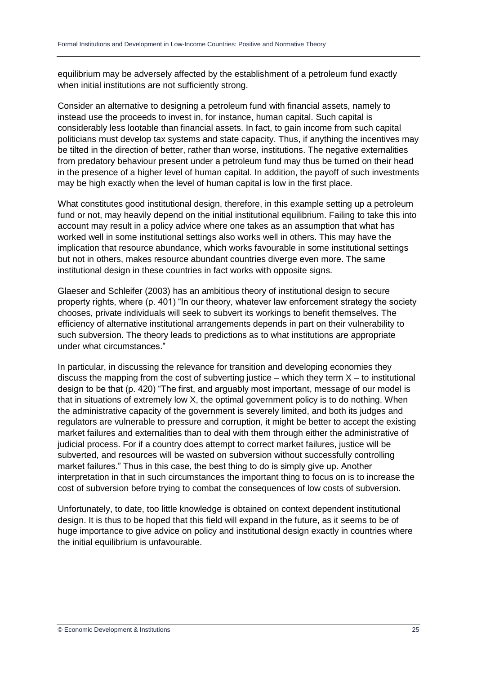equilibrium may be adversely affected by the establishment of a petroleum fund exactly when initial institutions are not sufficiently strong.

Consider an alternative to designing a petroleum fund with financial assets, namely to instead use the proceeds to invest in, for instance, human capital. Such capital is considerably less lootable than financial assets. In fact, to gain income from such capital politicians must develop tax systems and state capacity. Thus, if anything the incentives may be tilted in the direction of better, rather than worse, institutions. The negative externalities from predatory behaviour present under a petroleum fund may thus be turned on their head in the presence of a higher level of human capital. In addition, the payoff of such investments may be high exactly when the level of human capital is low in the first place.

What constitutes good institutional design, therefore, in this example setting up a petroleum fund or not, may heavily depend on the initial institutional equilibrium. Failing to take this into account may result in a policy advice where one takes as an assumption that what has worked well in some institutional settings also works well in others. This may have the implication that resource abundance, which works favourable in some institutional settings but not in others, makes resource abundant countries diverge even more. The same institutional design in these countries in fact works with opposite signs.

Glaeser and Schleifer (2003) has an ambitious theory of institutional design to secure property rights, where (p. 401) "In our theory, whatever law enforcement strategy the society chooses, private individuals will seek to subvert its workings to benefit themselves. The efficiency of alternative institutional arrangements depends in part on their vulnerability to such subversion. The theory leads to predictions as to what institutions are appropriate under what circumstances."

In particular, in discussing the relevance for transition and developing economies they discuss the mapping from the cost of subverting justice – which they term  $X -$  to institutional design to be that (p. 420) "The first, and arguably most important, message of our model is that in situations of extremely low X, the optimal government policy is to do nothing. When the administrative capacity of the government is severely limited, and both its judges and regulators are vulnerable to pressure and corruption, it might be better to accept the existing market failures and externalities than to deal with them through either the administrative of judicial process. For if a country does attempt to correct market failures, justice will be subverted, and resources will be wasted on subversion without successfully controlling market failures." Thus in this case, the best thing to do is simply give up. Another interpretation in that in such circumstances the important thing to focus on is to increase the cost of subversion before trying to combat the consequences of low costs of subversion.

Unfortunately, to date, too little knowledge is obtained on context dependent institutional design. It is thus to be hoped that this field will expand in the future, as it seems to be of huge importance to give advice on policy and institutional design exactly in countries where the initial equilibrium is unfavourable.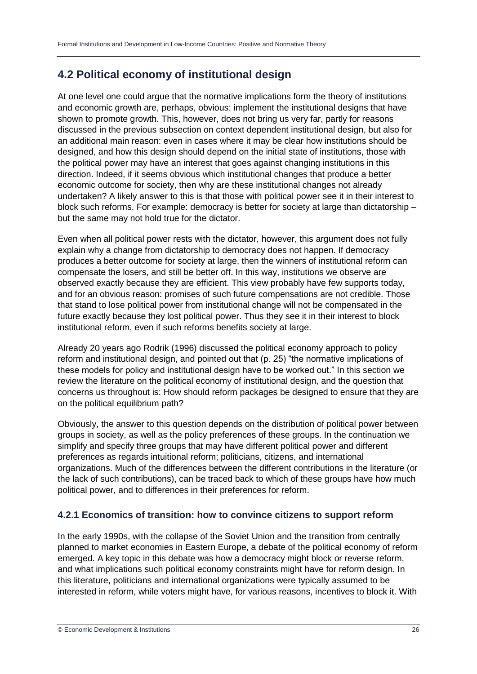### **4.2 Political economy of institutional design**

At one level one could argue that the normative implications form the theory of institutions and economic growth are, perhaps, obvious: implement the institutional designs that have shown to promote growth. This, however, does not bring us very far, partly for reasons discussed in the previous subsection on context dependent institutional design, but also for an additional main reason: even in cases where it may be clear how institutions should be designed, and how this design should depend on the initial state of institutions, those with the political power may have an interest that goes against changing institutions in this direction. Indeed, if it seems obvious which institutional changes that produce a better economic outcome for society, then why are these institutional changes not already undertaken? A likely answer to this is that those with political power see it in their interest to block such reforms. For example: democracy is better for society at large than dictatorship – but the same may not hold true for the dictator.

Even when all political power rests with the dictator, however, this argument does not fully explain why a change from dictatorship to democracy does not happen. If democracy produces a better outcome for society at large, then the winners of institutional reform can compensate the losers, and still be better off. In this way, institutions we observe are observed exactly because they are efficient. This view probably have few supports today, and for an obvious reason: promises of such future compensations are not credible. Those that stand to lose political power from institutional change will not be compensated in the future exactly because they lost political power. Thus they see it in their interest to block institutional reform, even if such reforms benefits society at large.

Already 20 years ago Rodrik (1996) discussed the political economy approach to policy reform and institutional design, and pointed out that (p. 25) "the normative implications of these models for policy and institutional design have to be worked out." In this section we review the literature on the political economy of institutional design, and the question that concerns us throughout is: How should reform packages be designed to ensure that they are on the political equilibrium path?

Obviously, the answer to this question depends on the distribution of political power between groups in society, as well as the policy preferences of these groups. In the continuation we simplify and specify three groups that may have different political power and different preferences as regards intuitional reform; politicians, citizens, and international organizations. Much of the differences between the different contributions in the literature (or the lack of such contributions), can be traced back to which of these groups have how much political power, and to differences in their preferences for reform.

#### **4.2.1 Economics of transition: how to convince citizens to support reform**

In the early 1990s, with the collapse of the Soviet Union and the transition from centrally planned to market economies in Eastern Europe, a debate of the political economy of reform emerged. A key topic in this debate was how a democracy might block or reverse reform, and what implications such political economy constraints might have for reform design. In this literature, politicians and international organizations were typically assumed to be interested in reform, while voters might have, for various reasons, incentives to block it. With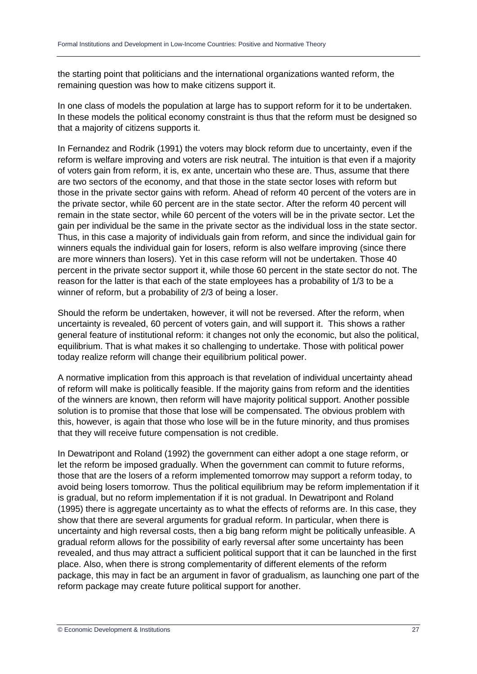the starting point that politicians and the international organizations wanted reform, the remaining question was how to make citizens support it.

In one class of models the population at large has to support reform for it to be undertaken. In these models the political economy constraint is thus that the reform must be designed so that a majority of citizens supports it.

In Fernandez and Rodrik (1991) the voters may block reform due to uncertainty, even if the reform is welfare improving and voters are risk neutral. The intuition is that even if a majority of voters gain from reform, it is, ex ante, uncertain who these are. Thus, assume that there are two sectors of the economy, and that those in the state sector loses with reform but those in the private sector gains with reform. Ahead of reform 40 percent of the voters are in the private sector, while 60 percent are in the state sector. After the reform 40 percent will remain in the state sector, while 60 percent of the voters will be in the private sector. Let the gain per individual be the same in the private sector as the individual loss in the state sector. Thus, in this case a majority of individuals gain from reform, and since the individual gain for winners equals the individual gain for losers, reform is also welfare improving (since there are more winners than losers). Yet in this case reform will not be undertaken. Those 40 percent in the private sector support it, while those 60 percent in the state sector do not. The reason for the latter is that each of the state employees has a probability of 1/3 to be a winner of reform, but a probability of 2/3 of being a loser.

Should the reform be undertaken, however, it will not be reversed. After the reform, when uncertainty is revealed, 60 percent of voters gain, and will support it. This shows a rather general feature of institutional reform: it changes not only the economic, but also the political, equilibrium. That is what makes it so challenging to undertake. Those with political power today realize reform will change their equilibrium political power.

A normative implication from this approach is that revelation of individual uncertainty ahead of reform will make is politically feasible. If the majority gains from reform and the identities of the winners are known, then reform will have majority political support. Another possible solution is to promise that those that lose will be compensated. The obvious problem with this, however, is again that those who lose will be in the future minority, and thus promises that they will receive future compensation is not credible.

In Dewatripont and Roland (1992) the government can either adopt a one stage reform, or let the reform be imposed gradually. When the government can commit to future reforms, those that are the losers of a reform implemented tomorrow may support a reform today, to avoid being losers tomorrow. Thus the political equilibrium may be reform implementation if it is gradual, but no reform implementation if it is not gradual. In Dewatripont and Roland (1995) there is aggregate uncertainty as to what the effects of reforms are. In this case, they show that there are several arguments for gradual reform. In particular, when there is uncertainty and high reversal costs, then a big bang reform might be politically unfeasible. A gradual reform allows for the possibility of early reversal after some uncertainty has been revealed, and thus may attract a sufficient political support that it can be launched in the first place. Also, when there is strong complementarity of different elements of the reform package, this may in fact be an argument in favor of gradualism, as launching one part of the reform package may create future political support for another.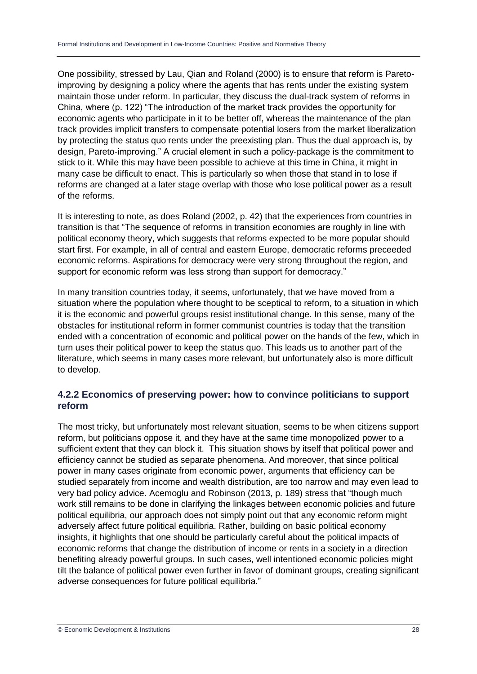One possibility, stressed by Lau, Qian and Roland (2000) is to ensure that reform is Paretoimproving by designing a policy where the agents that has rents under the existing system maintain those under reform. In particular, they discuss the dual-track system of reforms in China, where (p. 122) "The introduction of the market track provides the opportunity for economic agents who participate in it to be better off, whereas the maintenance of the plan track provides implicit transfers to compensate potential losers from the market liberalization by protecting the status quo rents under the preexisting plan. Thus the dual approach is, by design, Pareto-improving." A crucial element in such a policy-package is the commitment to stick to it. While this may have been possible to achieve at this time in China, it might in many case be difficult to enact. This is particularly so when those that stand in to lose if reforms are changed at a later stage overlap with those who lose political power as a result of the reforms.

It is interesting to note, as does Roland (2002, p. 42) that the experiences from countries in transition is that "The sequence of reforms in transition economies are roughly in line with political economy theory, which suggests that reforms expected to be more popular should start first. For example, in all of central and eastern Europe, democratic reforms preceeded economic reforms. Aspirations for democracy were very strong throughout the region, and support for economic reform was less strong than support for democracy."

In many transition countries today, it seems, unfortunately, that we have moved from a situation where the population where thought to be sceptical to reform, to a situation in which it is the economic and powerful groups resist institutional change. In this sense, many of the obstacles for institutional reform in former communist countries is today that the transition ended with a concentration of economic and political power on the hands of the few, which in turn uses their political power to keep the status quo. This leads us to another part of the literature, which seems in many cases more relevant, but unfortunately also is more difficult to develop.

#### **4.2.2 Economics of preserving power: how to convince politicians to support reform**

The most tricky, but unfortunately most relevant situation, seems to be when citizens support reform, but politicians oppose it, and they have at the same time monopolized power to a sufficient extent that they can block it. This situation shows by itself that political power and efficiency cannot be studied as separate phenomena. And moreover, that since political power in many cases originate from economic power, arguments that efficiency can be studied separately from income and wealth distribution, are too narrow and may even lead to very bad policy advice. Acemoglu and Robinson (2013, p. 189) stress that "though much work still remains to be done in clarifying the linkages between economic policies and future political equilibria, our approach does not simply point out that any economic reform might adversely affect future political equilibria. Rather, building on basic political economy insights, it highlights that one should be particularly careful about the political impacts of economic reforms that change the distribution of income or rents in a society in a direction benefiting already powerful groups. In such cases, well intentioned economic policies might tilt the balance of political power even further in favor of dominant groups, creating significant adverse consequences for future political equilibria."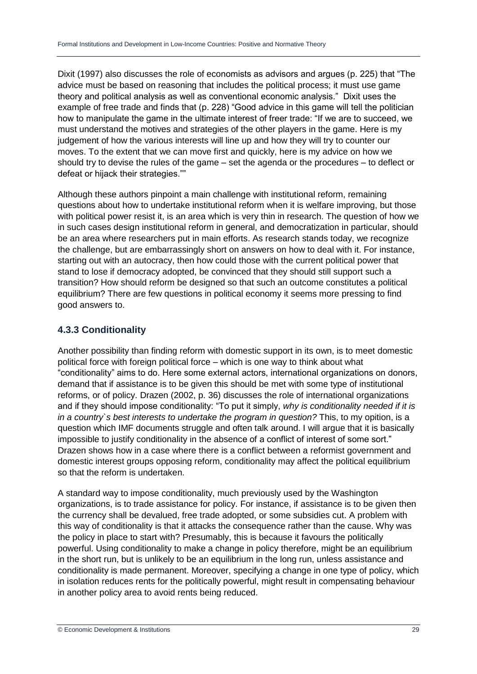Dixit (1997) also discusses the role of economists as advisors and argues (p. 225) that "The advice must be based on reasoning that includes the political process; it must use game theory and political analysis as well as conventional economic analysis." Dixit uses the example of free trade and finds that (p. 228) "Good advice in this game will tell the politician how to manipulate the game in the ultimate interest of freer trade: "If we are to succeed, we must understand the motives and strategies of the other players in the game. Here is my judgement of how the various interests will line up and how they will try to counter our moves. To the extent that we can move first and quickly, here is my advice on how we should try to devise the rules of the game – set the agenda or the procedures – to deflect or defeat or hijack their strategies.""

Although these authors pinpoint a main challenge with institutional reform, remaining questions about how to undertake institutional reform when it is welfare improving, but those with political power resist it, is an area which is very thin in research. The question of how we in such cases design institutional reform in general, and democratization in particular, should be an area where researchers put in main efforts. As research stands today, we recognize the challenge, but are embarrassingly short on answers on how to deal with it. For instance, starting out with an autocracy, then how could those with the current political power that stand to lose if democracy adopted, be convinced that they should still support such a transition? How should reform be designed so that such an outcome constitutes a political equilibrium? There are few questions in political economy it seems more pressing to find good answers to.

#### **4.3.3 Conditionality**

Another possibility than finding reform with domestic support in its own, is to meet domestic political force with foreign political force – which is one way to think about what "conditionality" aims to do. Here some external actors, international organizations on donors, demand that if assistance is to be given this should be met with some type of institutional reforms, or of policy. Drazen (2002, p. 36) discusses the role of international organizations and if they should impose conditionality: "To put it simply, *why is conditionality needed if it is in a country`s best interests to undertake the program in question?* This, to my opition, is a question which IMF documents struggle and often talk around. I will argue that it is basically impossible to justify conditionality in the absence of a conflict of interest of some sort." Drazen shows how in a case where there is a conflict between a reformist government and domestic interest groups opposing reform, conditionality may affect the political equilibrium so that the reform is undertaken.

A standard way to impose conditionality, much previously used by the Washington organizations, is to trade assistance for policy. For instance, if assistance is to be given then the currency shall be devalued, free trade adopted, or some subsidies cut. A problem with this way of conditionality is that it attacks the consequence rather than the cause. Why was the policy in place to start with? Presumably, this is because it favours the politically powerful. Using conditionality to make a change in policy therefore, might be an equilibrium in the short run, but is unlikely to be an equilibrium in the long run, unless assistance and conditionality is made permanent. Moreover, specifying a change in one type of policy, which in isolation reduces rents for the politically powerful, might result in compensating behaviour in another policy area to avoid rents being reduced.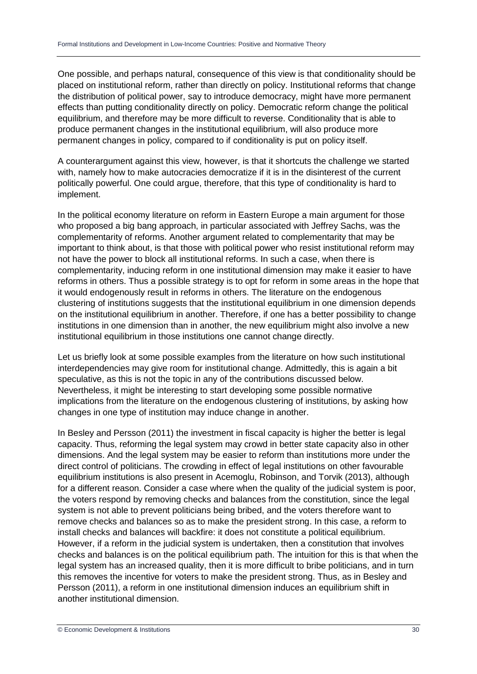One possible, and perhaps natural, consequence of this view is that conditionality should be placed on institutional reform, rather than directly on policy. Institutional reforms that change the distribution of political power, say to introduce democracy, might have more permanent effects than putting conditionality directly on policy. Democratic reform change the political equilibrium, and therefore may be more difficult to reverse. Conditionality that is able to produce permanent changes in the institutional equilibrium, will also produce more permanent changes in policy, compared to if conditionality is put on policy itself.

A counterargument against this view, however, is that it shortcuts the challenge we started with, namely how to make autocracies democratize if it is in the disinterest of the current politically powerful. One could argue, therefore, that this type of conditionality is hard to implement.

In the political economy literature on reform in Eastern Europe a main argument for those who proposed a big bang approach, in particular associated with Jeffrey Sachs, was the complementarity of reforms. Another argument related to complementarity that may be important to think about, is that those with political power who resist institutional reform may not have the power to block all institutional reforms. In such a case, when there is complementarity, inducing reform in one institutional dimension may make it easier to have reforms in others. Thus a possible strategy is to opt for reform in some areas in the hope that it would endogenously result in reforms in others. The literature on the endogenous clustering of institutions suggests that the institutional equilibrium in one dimension depends on the institutional equilibrium in another. Therefore, if one has a better possibility to change institutions in one dimension than in another, the new equilibrium might also involve a new institutional equilibrium in those institutions one cannot change directly.

Let us briefly look at some possible examples from the literature on how such institutional interdependencies may give room for institutional change. Admittedly, this is again a bit speculative, as this is not the topic in any of the contributions discussed below. Nevertheless, it might be interesting to start developing some possible normative implications from the literature on the endogenous clustering of institutions, by asking how changes in one type of institution may induce change in another.

In Besley and Persson (2011) the investment in fiscal capacity is higher the better is legal capacity. Thus, reforming the legal system may crowd in better state capacity also in other dimensions. And the legal system may be easier to reform than institutions more under the direct control of politicians. The crowding in effect of legal institutions on other favourable equilibrium institutions is also present in Acemoglu, Robinson, and Torvik (2013), although for a different reason. Consider a case where when the quality of the judicial system is poor, the voters respond by removing checks and balances from the constitution, since the legal system is not able to prevent politicians being bribed, and the voters therefore want to remove checks and balances so as to make the president strong. In this case, a reform to install checks and balances will backfire: it does not constitute a political equilibrium. However, if a reform in the judicial system is undertaken, then a constitution that involves checks and balances is on the political equilibrium path. The intuition for this is that when the legal system has an increased quality, then it is more difficult to bribe politicians, and in turn this removes the incentive for voters to make the president strong. Thus, as in Besley and Persson (2011), a reform in one institutional dimension induces an equilibrium shift in another institutional dimension.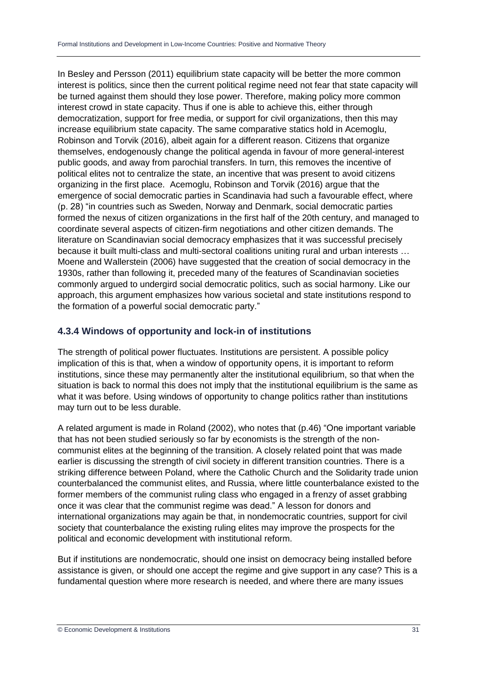In Besley and Persson (2011) equilibrium state capacity will be better the more common interest is politics, since then the current political regime need not fear that state capacity will be turned against them should they lose power. Therefore, making policy more common interest crowd in state capacity. Thus if one is able to achieve this, either through democratization, support for free media, or support for civil organizations, then this may increase equilibrium state capacity. The same comparative statics hold in Acemoglu, Robinson and Torvik (2016), albeit again for a different reason. Citizens that organize themselves, endogenously change the political agenda in favour of more general-interest public goods, and away from parochial transfers. In turn, this removes the incentive of political elites not to centralize the state, an incentive that was present to avoid citizens organizing in the first place. Acemoglu, Robinson and Torvik (2016) argue that the emergence of social democratic parties in Scandinavia had such a favourable effect, where (p. 28) "in countries such as Sweden, Norway and Denmark, social democratic parties formed the nexus of citizen organizations in the first half of the 20th century, and managed to coordinate several aspects of citizen-firm negotiations and other citizen demands. The literature on Scandinavian social democracy emphasizes that it was successful precisely because it built multi-class and multi-sectoral coalitions uniting rural and urban interests … Moene and Wallerstein (2006) have suggested that the creation of social democracy in the 1930s, rather than following it, preceded many of the features of Scandinavian societies commonly argued to undergird social democratic politics, such as social harmony. Like our approach, this argument emphasizes how various societal and state institutions respond to the formation of a powerful social democratic party."

#### **4.3.4 Windows of opportunity and lock-in of institutions**

The strength of political power fluctuates. Institutions are persistent. A possible policy implication of this is that, when a window of opportunity opens, it is important to reform institutions, since these may permanently alter the institutional equilibrium, so that when the situation is back to normal this does not imply that the institutional equilibrium is the same as what it was before. Using windows of opportunity to change politics rather than institutions may turn out to be less durable.

A related argument is made in Roland (2002), who notes that (p.46) "One important variable that has not been studied seriously so far by economists is the strength of the noncommunist elites at the beginning of the transition. A closely related point that was made earlier is discussing the strength of civil society in different transition countries. There is a striking difference between Poland, where the Catholic Church and the Solidarity trade union counterbalanced the communist elites, and Russia, where little counterbalance existed to the former members of the communist ruling class who engaged in a frenzy of asset grabbing once it was clear that the communist regime was dead." A lesson for donors and international organizations may again be that, in nondemocratic countries, support for civil society that counterbalance the existing ruling elites may improve the prospects for the political and economic development with institutional reform.

But if institutions are nondemocratic, should one insist on democracy being installed before assistance is given, or should one accept the regime and give support in any case? This is a fundamental question where more research is needed, and where there are many issues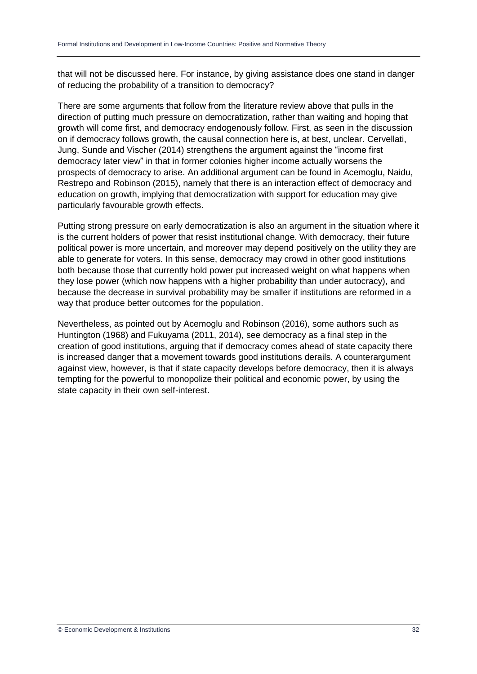that will not be discussed here. For instance, by giving assistance does one stand in danger of reducing the probability of a transition to democracy?

There are some arguments that follow from the literature review above that pulls in the direction of putting much pressure on democratization, rather than waiting and hoping that growth will come first, and democracy endogenously follow. First, as seen in the discussion on if democracy follows growth, the causal connection here is, at best, unclear. Cervellati, Jung, Sunde and Vischer (2014) strengthens the argument against the "income first democracy later view" in that in former colonies higher income actually worsens the prospects of democracy to arise. An additional argument can be found in Acemoglu, Naidu, Restrepo and Robinson (2015), namely that there is an interaction effect of democracy and education on growth, implying that democratization with support for education may give particularly favourable growth effects.

Putting strong pressure on early democratization is also an argument in the situation where it is the current holders of power that resist institutional change. With democracy, their future political power is more uncertain, and moreover may depend positively on the utility they are able to generate for voters. In this sense, democracy may crowd in other good institutions both because those that currently hold power put increased weight on what happens when they lose power (which now happens with a higher probability than under autocracy), and because the decrease in survival probability may be smaller if institutions are reformed in a way that produce better outcomes for the population.

Nevertheless, as pointed out by Acemoglu and Robinson (2016), some authors such as Huntington (1968) and Fukuyama (2011, 2014), see democracy as a final step in the creation of good institutions, arguing that if democracy comes ahead of state capacity there is increased danger that a movement towards good institutions derails. A counterargument against view, however, is that if state capacity develops before democracy, then it is always tempting for the powerful to monopolize their political and economic power, by using the state capacity in their own self-interest.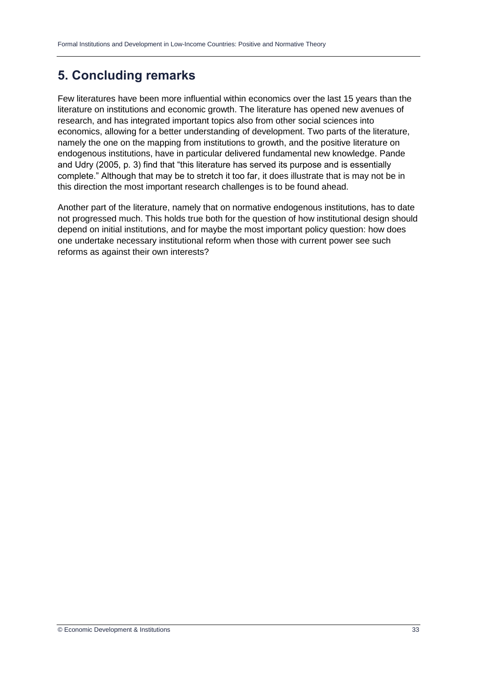# **5. Concluding remarks**

Few literatures have been more influential within economics over the last 15 years than the literature on institutions and economic growth. The literature has opened new avenues of research, and has integrated important topics also from other social sciences into economics, allowing for a better understanding of development. Two parts of the literature, namely the one on the mapping from institutions to growth, and the positive literature on endogenous institutions, have in particular delivered fundamental new knowledge. Pande and Udry (2005, p. 3) find that "this literature has served its purpose and is essentially complete." Although that may be to stretch it too far, it does illustrate that is may not be in this direction the most important research challenges is to be found ahead.

Another part of the literature, namely that on normative endogenous institutions, has to date not progressed much. This holds true both for the question of how institutional design should depend on initial institutions, and for maybe the most important policy question: how does one undertake necessary institutional reform when those with current power see such reforms as against their own interests?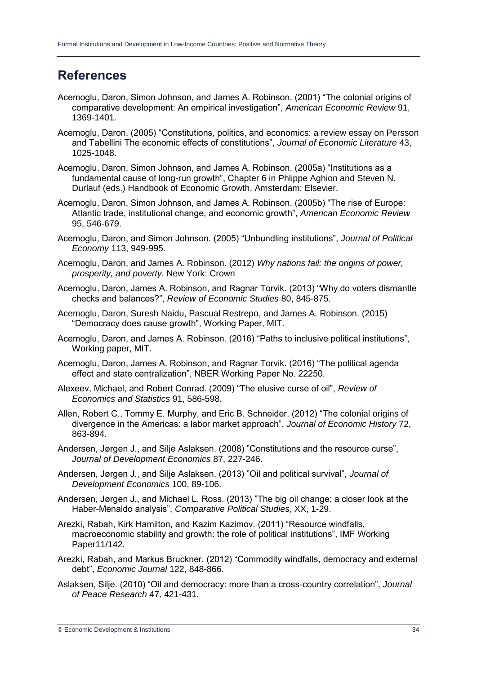### **References**

- Acemoglu, Daron, Simon Johnson, and James A. Robinson. (2001) "The colonial origins of comparative development: An empirical investigation", *American Economic Review* 91, 1369-1401.
- Acemoglu, Daron. (2005) "Constitutions, politics, and economics: a review essay on Persson and Tabellini The economic effects of constitutions", *Journal of Economic Literature* 43, 1025-1048.
- Acemoglu, Daron, Simon Johnson, and James A. Robinson. (2005a) "Institutions as a fundamental cause of long-run growth", Chapter 6 in Phlippe Aghion and Steven N. Durlauf (eds.) Handbook of Economic Growth, Amsterdam: Elsevier.
- Acemoglu, Daron, Simon Johnson, and James A. Robinson. (2005b) "The rise of Europe: Atlantic trade, institutional change, and economic growth", *American Economic Review* 95, 546-679.
- Acemoglu, Daron, and Simon Johnson. (2005) "Unbundling institutions", *Journal of Political Economy* 113, 949-995.
- Acemoglu, Daron, and James A. Robinson. (2012) *Why nations fail: the origins of power, prosperity, and poverty*. New York: Crown
- Acemoglu, Daron, James A. Robinson, and Ragnar Torvik. (2013) "Why do voters dismantle checks and balances?", *Review of Economic Studies* 80, 845-875.
- Acemoglu, Daron, Suresh Naidu, Pascual Restrepo, and James A. Robinson. (2015) "Democracy does cause growth", Working Paper, MIT.
- Acemoglu, Daron, and James A. Robinson. (2016) "Paths to inclusive political institutions", Working paper, MIT.
- Acemoglu, Daron, James A. Robinson, and Ragnar Torvik. (2016) "The political agenda effect and state centralization", NBER Working Paper No. 22250.
- Alexeev, Michael, and Robert Conrad. (2009) "The elusive curse of oil", *Review of Economics and Statistics* 91, 586-598.
- Allen, Robert C., Tommy E. Murphy, and Eric B. Schneider. (2012) "The colonial origins of divergence in the Americas: a labor market approach", *Journal of Economic History* 72, 863-894.
- Andersen, Jørgen J., and Silje Aslaksen. (2008) "Constitutions and the resource curse", *Journal of Development Economics* 87, 227-246.
- Andersen, Jørgen J., and Silje Aslaksen. (2013) "Oil and political survival", *Journal of Development Economics* 100, 89-106.
- Andersen, Jørgen J., and Michael L. Ross. (2013) "The big oil change: a closer look at the Haber-Menaldo analysis", *Comparative Political Studies*, XX, 1-29.
- Arezki, Rabah, Kirk Hamilton, and Kazim Kazimov. (2011) "Resource windfalls, macroeconomic stability and growth: the role of political institutions", IMF Working Paper11/142.
- Arezki, Rabah, and Markus Bruckner. (2012) "Commodity windfalls, democracy and external debt", *Economic Journal* 122, 848-866.
- Aslaksen, Silje. (2010) "Oil and democracy: more than a cross-country correlation", *Journal of Peace Research* 47*,* 421-431.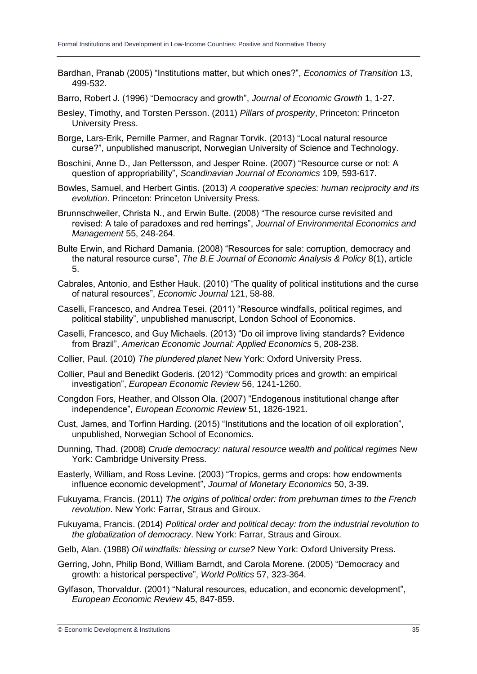Bardhan, Pranab (2005) "Institutions matter, but which ones?", *Economics of Transition* 13, 499-532.

Barro, Robert J. (1996) "Democracy and growth", *Journal of Economic Growth* 1, 1-27.

- Besley, Timothy, and Torsten Persson. (2011) *Pillars of prosperity*, Princeton: Princeton University Press.
- Borge, Lars-Erik, Pernille Parmer, and Ragnar Torvik. (2013) "Local natural resource curse?", unpublished manuscript, Norwegian University of Science and Technology.
- Boschini, Anne D., Jan Pettersson, and Jesper Roine. (2007) "Resource curse or not: A question of appropriability", *Scandinavian Journal of Economics* 109*,* 593-617.
- Bowles, Samuel, and Herbert Gintis. (2013) *A cooperative species: human reciprocity and its evolution*. Princeton: Princeton University Press.
- Brunnschweiler, Christa N., and Erwin Bulte. (2008) "The resource curse revisited and revised: A tale of paradoxes and red herrings", *Journal of Environmental Economics and Management* 55, 248-264.
- Bulte Erwin, and Richard Damania. (2008) "Resources for sale: corruption, democracy and the natural resource curse", *The B.E Journal of Economic Analysis & Policy* 8(1), article 5.
- Cabrales, Antonio, and Esther Hauk. (2010) "The quality of political institutions and the curse of natural resources", *Economic Journal* 121, 58-88.
- Caselli, Francesco, and Andrea Tesei. (2011) "Resource windfalls, political regimes, and political stability", unpublished manuscript, London School of Economics.
- Caselli, Francesco, and Guy Michaels. (2013) "Do oil improve living standards? Evidence from Brazil", *American Economic Journal: Applied Economics* 5, 208-238.
- Collier, Paul. (2010) *The plundered planet* New York: Oxford University Press.
- Collier, Paul and Benedikt Goderis. (2012) "Commodity prices and growth: an empirical investigation", *European Economic Review* 56, 1241-1260.
- Congdon Fors, Heather, and Olsson Ola. (2007) "Endogenous institutional change after independence", *European Economic Review* 51, 1826-1921.
- Cust, James, and Torfinn Harding. (2015) "Institutions and the location of oil exploration", unpublished, Norwegian School of Economics.
- Dunning, Thad. (2008) *Crude democracy: natural resource wealth and political regimes* New York: Cambridge University Press.
- Easterly, William, and Ross Levine. (2003) "Tropics, germs and crops: how endowments influence economic development", *Journal of Monetary Economics* 50, 3-39.
- Fukuyama, Francis. (2011) *The origins of political order: from prehuman times to the French revolution*. New York: Farrar, Straus and Giroux.
- Fukuyama, Francis. (2014) *Political order and political decay: from the industrial revolution to the globalization of democracy*. New York: Farrar, Straus and Giroux.
- Gelb, Alan. (1988) *Oil windfalls: blessing or curse?* New York: Oxford University Press.
- Gerring, John, Philip Bond, William Barndt, and Carola Morene. (2005) "Democracy and growth: a historical perspective", *World Politics* 57, 323-364.
- Gylfason, Thorvaldur. (2001) "Natural resources, education, and economic development", *European Economic Review* 45, 847-859.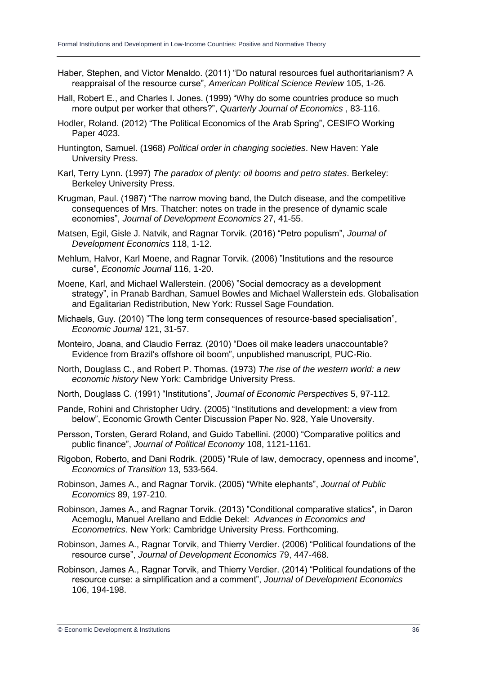- Haber, Stephen, and Victor Menaldo. (2011) "Do natural resources fuel authoritarianism? A reappraisal of the resource curse", *American Political Science Review* 105, 1-26.
- Hall, Robert E., and Charles I. Jones. (1999) "Why do some countries produce so much more output per worker that others?", *Quarterly Journal of Economics* , 83-116.
- Hodler, Roland. (2012) "The Political Economics of the Arab Spring", CESIFO Working Paper 4023.
- Huntington, Samuel. (1968) *Political order in changing societies*. New Haven: Yale University Press.
- Karl, Terry Lynn. (1997) *The paradox of plenty: oil booms and petro states*. Berkeley: Berkeley University Press.
- Krugman, Paul. (1987) "The narrow moving band, the Dutch disease, and the competitive consequences of Mrs. Thatcher: notes on trade in the presence of dynamic scale economies", *Journal of Development Economics* 27, 41-55.
- Matsen, Egil, Gisle J. Natvik, and Ragnar Torvik. (2016) "Petro populism", *Journal of Development Economics* 118, 1-12.
- Mehlum, Halvor, Karl Moene, and Ragnar Torvik. (2006) "Institutions and the resource curse", *Economic Journal* 116, 1-20.
- Moene, Karl, and Michael Wallerstein. (2006) "Social democracy as a development strategy", in Pranab Bardhan, Samuel Bowles and Michael Wallerstein eds. Globalisation and Egalitarian Redistribution, New York: Russel Sage Foundation.
- Michaels, Guy. (2010) "The long term consequences of resource-based specialisation", *Economic Journal* 121, 31-57.
- Monteiro, Joana, and Claudio Ferraz. (2010) "Does oil make leaders unaccountable? Evidence from Brazil's offshore oil boom", unpublished manuscript, PUC-Rio.
- North, Douglass C., and Robert P. Thomas. (1973) *The rise of the western world: a new economic history* New York: Cambridge University Press.
- North, Douglass C. (1991) "Institutions", *Journal of Economic Perspectives* 5, 97-112.
- Pande, Rohini and Christopher Udry. (2005) "Institutions and development: a view from below", Economic Growth Center Discussion Paper No. 928, Yale Unoversity.
- Persson, Torsten, Gerard Roland, and Guido Tabellini. (2000) "Comparative politics and public finance", *Journal of Political Economy* 108, 1121-1161.
- Rigobon, Roberto, and Dani Rodrik. (2005) "Rule of law, democracy, openness and income", *Economics of Transition* 13, 533-564.
- Robinson, James A., and Ragnar Torvik. (2005) "White elephants", *Journal of Public Economics* 89, 197-210.
- Robinson, James A., and Ragnar Torvik. (2013) "Conditional comparative statics", in Daron Acemoglu, Manuel Arellano and Eddie Dekel: *Advances in Economics and Econometrics*. New York: Cambridge University Press. Forthcoming.
- Robinson, James A., Ragnar Torvik, and Thierry Verdier. (2006) "Political foundations of the resource curse", *Journal of Development Economics* 79, 447-468.
- Robinson, James A., Ragnar Torvik, and Thierry Verdier. (2014) "Political foundations of the resource curse: a simplification and a comment", *Journal of Development Economics* 106, 194-198.